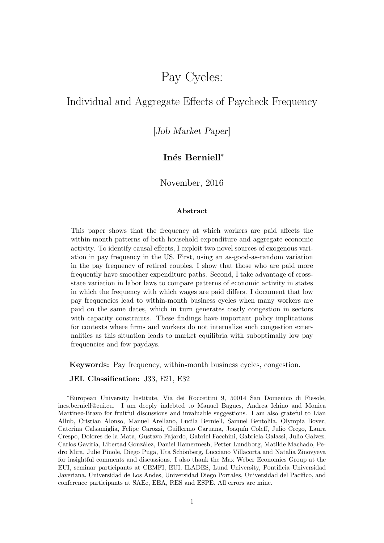# Pay Cycles:

## <span id="page-0-0"></span>Individual and Aggregate Effects of Paycheck Frequency

## [Job Market Paper]

## Inés Berniell<sup>∗</sup>

November, 2016

#### Abstract

This paper shows that the frequency at which workers are paid affects the within-month patterns of both household expenditure and aggregate economic activity. To identify causal effects, I exploit two novel sources of exogenous variation in pay frequency in the US. First, using an as-good-as-random variation in the pay frequency of retired couples, I show that those who are paid more frequently have smoother expenditure paths. Second, I take advantage of crossstate variation in labor laws to compare patterns of economic activity in states in which the frequency with which wages are paid differs. I document that low pay frequencies lead to within-month business cycles when many workers are paid on the same dates, which in turn generates costly congestion in sectors with capacity constraints. These findings have important policy implications for contexts where firms and workers do not internalize such congestion externalities as this situation leads to market equilibria with suboptimally low pay frequencies and few paydays.

Keywords: Pay frequency, within-month business cycles, congestion.

JEL Classification: J33, E21, E32

<sup>∗</sup>European University Institute, Via dei Roccettini 9, 50014 San Domenico di Fiesole, ines.berniell@eui.eu. I am deeply indebted to Manuel Bagues, Andrea Ichino and Monica Martinez-Bravo for fruitful discussions and invaluable suggestions. I am also grateful to Lian Allub, Cristian Alonso, Manuel Arellano, Lucila Berniell, Samuel Bentolila, Olympia Bover, Caterina Calsamiglia, Felipe Carozzi, Guillermo Caruana, Joaquín Coleff, Julio Crego, Laura Crespo, Dolores de la Mata, Gustavo Fajardo, Gabriel Facchini, Gabriela Galassi, Julio Galvez, Carlos Gaviria, Libertad González, Daniel Hamermesh, Petter Lundborg, Matilde Machado, Pedro Mira, Julie Pinole, Diego Puga, Uta Sch¨onberg, Lucciano Villacorta and Natalia Zinovyeva for insightful comments and discussions. I also thank the Max Weber Economics Group at the EUI, seminar participants at CEMFI, EUI, ILADES, Lund University, Pontificia Universidad Javeriana, Universidad de Los Andes, Universidad Diego Portales, Universidad del Pacífico, and conference participants at SAEe, EEA, RES and ESPE. All errors are mine.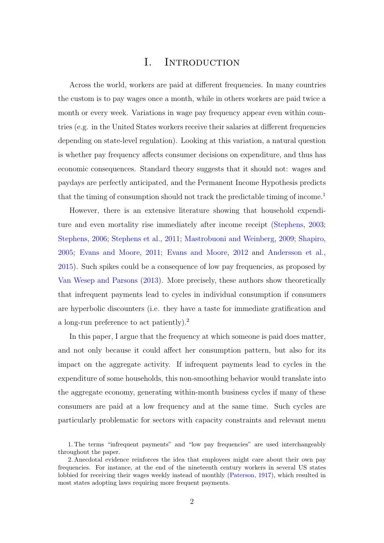## I. INTRODUCTION

Across the world, workers are paid at different frequencies. In many countries the custom is to pay wages once a month, while in others workers are paid twice a month or every week. Variations in wage pay frequency appear even within countries (e.g. in the United States workers receive their salaries at different frequencies depending on state-level regulation). Looking at this variation, a natural question is whether pay frequency affects consumer decisions on expenditure, and thus has economic consequences. Standard theory suggests that it should not: wages and paydays are perfectly anticipated, and the Permanent Income Hypothesis predicts that the timing of consumption should not track the predictable timing of income.<sup>[1](#page-0-0)</sup>

However, there is an extensive literature showing that household expenditure and even mortality rise immediately after income receipt [\(Stephens,](#page-41-0) [2003;](#page-41-0) [Stephens,](#page-41-1) [2006;](#page-41-1) [Stephens et al.,](#page-41-2) [2011;](#page-41-2) [Mastrobuoni and Weinberg,](#page-41-3) [2009;](#page-41-3) [Shapiro,](#page-41-4) [2005;](#page-41-4) [Evans and Moore,](#page-40-0) [2011;](#page-40-0) [Evans and Moore,](#page-40-1) [2012](#page-40-1) and [Andersson et al.,](#page-39-0) [2015\)](#page-39-0). Such spikes could be a consequence of low pay frequencies, as proposed by [Van Wesep and Parsons](#page-41-5) [\(2013\)](#page-41-5). More precisely, these authors show theoretically that infrequent payments lead to cycles in individual consumption if consumers are hyperbolic discounters (i.e. they have a taste for immediate gratification and a long-run preference to act patiently).[2](#page-0-0)

In this paper, I argue that the frequency at which someone is paid does matter, and not only because it could affect her consumption pattern, but also for its impact on the aggregate activity. If infrequent payments lead to cycles in the expenditure of some households, this non-smoothing behavior would translate into the aggregate economy, generating within-month business cycles if many of these consumers are paid at a low frequency and at the same time. Such cycles are particularly problematic for sectors with capacity constraints and relevant menu

<sup>1.</sup> The terms "infrequent payments" and "low pay frequencies" are used interchangeably throughout the paper.

<sup>2.</sup> Anecdotal evidence reinforces the idea that employees might care about their own pay frequencies. For instance, at the end of the nineteenth century workers in several US states lobbied for receiving their wages weekly instead of monthly [\(Paterson,](#page-41-6) [1917\)](#page-41-6), which resulted in most states adopting laws requiring more frequent payments.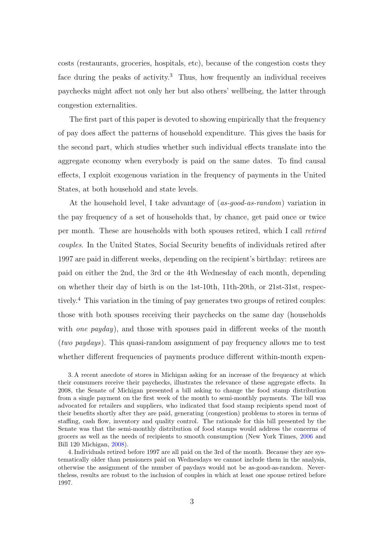costs (restaurants, groceries, hospitals, etc), because of the congestion costs they face during the peaks of activity.<sup>[3](#page-0-0)</sup> Thus, how frequently an individual receives paychecks might affect not only her but also others' wellbeing, the latter through congestion externalities.

The first part of this paper is devoted to showing empirically that the frequency of pay does affect the patterns of household expenditure. This gives the basis for the second part, which studies whether such individual effects translate into the aggregate economy when everybody is paid on the same dates. To find causal effects, I exploit exogenous variation in the frequency of payments in the United States, at both household and state levels.

At the household level, I take advantage of (as-good-as-random) variation in the pay frequency of a set of households that, by chance, get paid once or twice per month. These are households with both spouses retired, which I call retired couples. In the United States, Social Security benefits of individuals retired after 1997 are paid in different weeks, depending on the recipient's birthday: retirees are paid on either the 2nd, the 3rd or the 4th Wednesday of each month, depending on whether their day of birth is on the 1st-10th, 11th-20th, or 21st-31st, respectively.[4](#page-0-0) This variation in the timing of pay generates two groups of retired couples: those with both spouses receiving their paychecks on the same day (households with *one payday*), and those with spouses paid in different weeks of the month (two paydays). This quasi-random assignment of pay frequency allows me to test whether different frequencies of payments produce different within-month expen-

<sup>3.</sup> A recent anecdote of stores in Michigan asking for an increase of the frequency at which their consumers receive their paychecks, illustrates the relevance of these aggregate effects. In 2008, the Senate of Michigan presented a bill asking to change the food stamp distribution from a single payment on the first week of the month to semi-monthly payments. The bill was advocated for retailers and suppliers, who indicated that food stamp recipients spend most of their benefits shortly after they are paid, generating (congestion) problems to stores in terms of staffing, cash flow, inventory and quality control. The rationale for this bill presented by the Senate was that the semi-monthly distribution of food stamps would address the concerns of grocers as well as the needs of recipients to smooth consumption (New York Times, [2006](#page-41-7) and Bill 120 Michigan, [2008\)](#page-41-8).

<sup>4.</sup> Individuals retired before 1997 are all paid on the 3rd of the month. Because they are systematically older than pensioners paid on Wednesdays we cannot include them in the analysis, otherwise the assignment of the number of paydays would not be as-good-as-random. Nevertheless, results are robust to the inclusion of couples in which at least one spouse retired before 1997.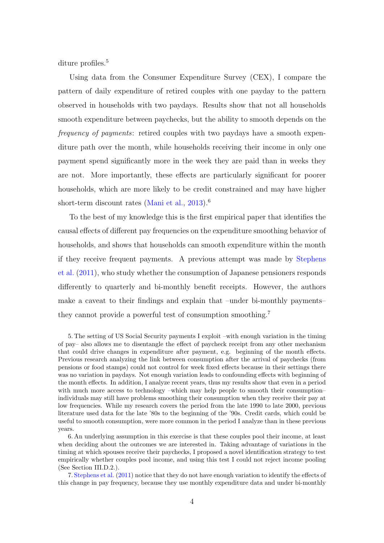diture profiles.<sup>[5](#page-0-0)</sup>

Using data from the Consumer Expenditure Survey (CEX), I compare the pattern of daily expenditure of retired couples with one payday to the pattern observed in households with two paydays. Results show that not all households smooth expenditure between paychecks, but the ability to smooth depends on the frequency of payments: retired couples with two paydays have a smooth expenditure path over the month, while households receiving their income in only one payment spend significantly more in the week they are paid than in weeks they are not. More importantly, these effects are particularly significant for poorer households, which are more likely to be credit constrained and may have higher short-term discount rates [\(Mani et al.,](#page-41-9) [2013\)](#page-41-9).<sup>[6](#page-0-0)</sup>

To the best of my knowledge this is the first empirical paper that identifies the causal effects of different pay frequencies on the expenditure smoothing behavior of households, and shows that households can smooth expenditure within the month if they receive frequent payments. A previous attempt was made by [Stephens](#page-41-2) [et al.](#page-41-2) [\(2011\)](#page-41-2), who study whether the consumption of Japanese pensioners responds differently to quarterly and bi-monthly benefit receipts. However, the authors make a caveat to their findings and explain that –under bi-monthly payments– they cannot provide a powerful test of consumption smoothing.[7](#page-0-0)

5. The setting of US Social Security payments I exploit –with enough variation in the timing of pay– also allows me to disentangle the effect of paycheck receipt from any other mechanism that could drive changes in expenditure after payment, e.g. beginning of the month effects. Previous research analyzing the link between consumption after the arrival of paychecks (from pensions or food stamps) could not control for week fixed effects because in their settings there was no variation in paydays. Not enough variation leads to confounding effects with beginning of the month effects. In addition, I analyze recent years, thus my results show that even in a period with much more access to technology –which may help people to smooth their consumption– individuals may still have problems smoothing their consumption when they receive their pay at low frequencies. While my research covers the period from the late 1990 to late 2000, previous literature used data for the late '80s to the beginning of the '90s. Credit cards, which could be useful to smooth consumption, were more common in the period I analyze than in these previous years.

6. An underlying assumption in this exercise is that these couples pool their income, at least when deciding about the outcomes we are interested in. Taking advantage of variations in the timing at which spouses receive their paychecks, I proposed a novel identification strategy to test empirically whether couples pool income, and using this test I could not reject income pooling (See Section [III.D.2.\)](#page-23-0).

7. [Stephens et al.](#page-41-2) [\(2011\)](#page-41-2) notice that they do not have enough variation to identify the effects of this change in pay frequency, because they use monthly expenditure data and under bi-monthly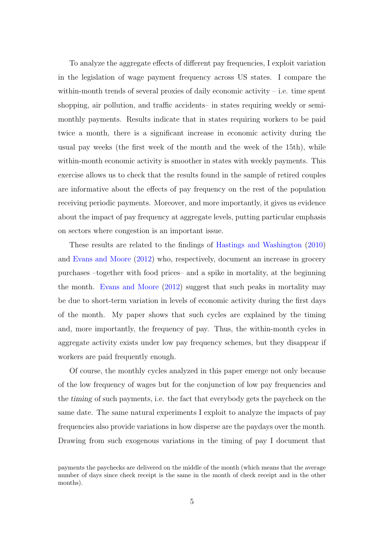To analyze the aggregate effects of different pay frequencies, I exploit variation in the legislation of wage payment frequency across US states. I compare the within-month trends of several proxies of daily economic activity  $-$  i.e. time spent shopping, air pollution, and traffic accidents– in states requiring weekly or semimonthly payments. Results indicate that in states requiring workers to be paid twice a month, there is a significant increase in economic activity during the usual pay weeks (the first week of the month and the week of the 15th), while within-month economic activity is smoother in states with weekly payments. This exercise allows us to check that the results found in the sample of retired couples are informative about the effects of pay frequency on the rest of the population receiving periodic payments. Moreover, and more importantly, it gives us evidence about the impact of pay frequency at aggregate levels, putting particular emphasis on sectors where congestion is an important issue.

These results are related to the findings of [Hastings and Washington](#page-40-2) [\(2010\)](#page-40-2) and [Evans and Moore](#page-40-1) [\(2012\)](#page-40-1) who, respectively, document an increase in grocery purchases –together with food prices– and a spike in mortality, at the beginning the month. [Evans and Moore](#page-40-1) [\(2012\)](#page-40-1) suggest that such peaks in mortality may be due to short-term variation in levels of economic activity during the first days of the month. My paper shows that such cycles are explained by the timing and, more importantly, the frequency of pay. Thus, the within-month cycles in aggregate activity exists under low pay frequency schemes, but they disappear if workers are paid frequently enough.

Of course, the monthly cycles analyzed in this paper emerge not only because of the low frequency of wages but for the conjunction of low pay frequencies and the timing of such payments, i.e. the fact that everybody gets the paycheck on the same date. The same natural experiments I exploit to analyze the impacts of pay frequencies also provide variations in how disperse are the paydays over the month. Drawing from such exogenous variations in the timing of pay I document that

payments the paychecks are delivered on the middle of the month (which means that the average number of days since check receipt is the same in the month of check receipt and in the other months).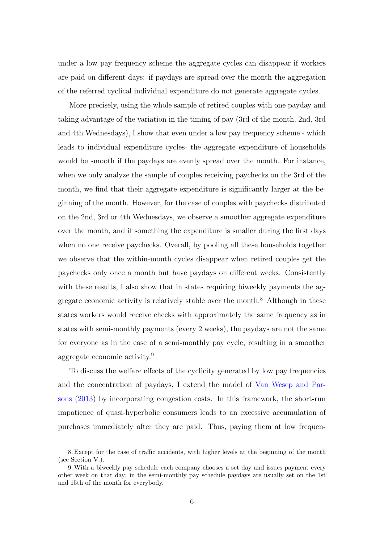under a low pay frequency scheme the aggregate cycles can disappear if workers are paid on different days: if paydays are spread over the month the aggregation of the referred cyclical individual expenditure do not generate aggregate cycles.

More precisely, using the whole sample of retired couples with one payday and taking advantage of the variation in the timing of pay (3rd of the month, 2nd, 3rd and 4th Wednesdays), I show that even under a low pay frequency scheme - which leads to individual expenditure cycles- the aggregate expenditure of households would be smooth if the paydays are evenly spread over the month. For instance, when we only analyze the sample of couples receiving paychecks on the 3rd of the month, we find that their aggregate expenditure is significantly larger at the beginning of the month. However, for the case of couples with paychecks distributed on the 2nd, 3rd or 4th Wednesdays, we observe a smoother aggregate expenditure over the month, and if something the expenditure is smaller during the first days when no one receive paychecks. Overall, by pooling all these households together we observe that the within-month cycles disappear when retired couples get the paychecks only once a month but have paydays on different weeks. Consistently with these results, I also show that in states requiring biweekly payments the ag-gregate economic activity is relatively stable over the month.<sup>[8](#page-0-0)</sup> Although in these states workers would receive checks with approximately the same frequency as in states with semi-monthly payments (every 2 weeks), the paydays are not the same for everyone as in the case of a semi-monthly pay cycle, resulting in a smoother aggregate economic activity.[9](#page-0-0)

To discuss the welfare effects of the cyclicity generated by low pay frequencies and the concentration of paydays, I extend the model of [Van Wesep and Par](#page-41-5)[sons](#page-41-5) [\(2013\)](#page-41-5) by incorporating congestion costs. In this framework, the short-run impatience of quasi-hyperbolic consumers leads to an excessive accumulation of purchases immediately after they are paid. Thus, paying them at low frequen-

<sup>8.</sup> Except for the case of traffic accidents, with higher levels at the beginning of the month (see Section [V.\)](#page-35-0).

<sup>9.</sup>With a biweekly pay schedule each company chooses a set day and issues payment every other week on that day; in the semi-monthly pay schedule paydays are usually set on the 1st and 15th of the month for everybody.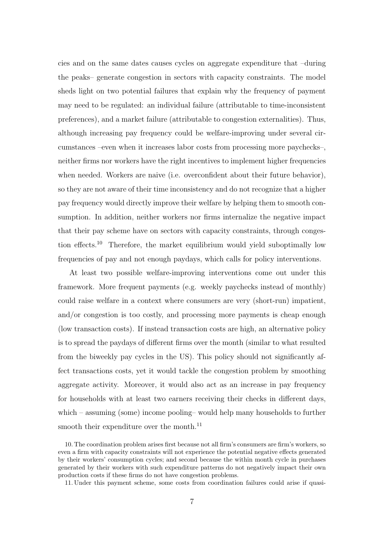cies and on the same dates causes cycles on aggregate expenditure that –during the peaks– generate congestion in sectors with capacity constraints. The model sheds light on two potential failures that explain why the frequency of payment may need to be regulated: an individual failure (attributable to time-inconsistent preferences), and a market failure (attributable to congestion externalities). Thus, although increasing pay frequency could be welfare-improving under several circumstances –even when it increases labor costs from processing more paychecks–, neither firms nor workers have the right incentives to implement higher frequencies when needed. Workers are naive (i.e. overconfident about their future behavior), so they are not aware of their time inconsistency and do not recognize that a higher pay frequency would directly improve their welfare by helping them to smooth consumption. In addition, neither workers nor firms internalize the negative impact that their pay scheme have on sectors with capacity constraints, through congestion effects.[10](#page-0-0) Therefore, the market equilibrium would yield suboptimally low frequencies of pay and not enough paydays, which calls for policy interventions.

At least two possible welfare-improving interventions come out under this framework. More frequent payments (e.g. weekly paychecks instead of monthly) could raise welfare in a context where consumers are very (short-run) impatient, and/or congestion is too costly, and processing more payments is cheap enough (low transaction costs). If instead transaction costs are high, an alternative policy is to spread the paydays of different firms over the month (similar to what resulted from the biweekly pay cycles in the US). This policy should not significantly affect transactions costs, yet it would tackle the congestion problem by smoothing aggregate activity. Moreover, it would also act as an increase in pay frequency for households with at least two earners receiving their checks in different days, which – assuming (some) income pooling– would help many households to further smooth their expenditure over the month.<sup>[11](#page-0-0)</sup>

<sup>10.</sup> The coordination problem arises first because not all firm's consumers are firm's workers, so even a firm with capacity constraints will not experience the potential negative effects generated by their workers' consumption cycles; and second because the within month cycle in purchases generated by their workers with such expenditure patterns do not negatively impact their own production costs if these firms do not have congestion problems.

<sup>11.</sup> Under this payment scheme, some costs from coordination failures could arise if quasi-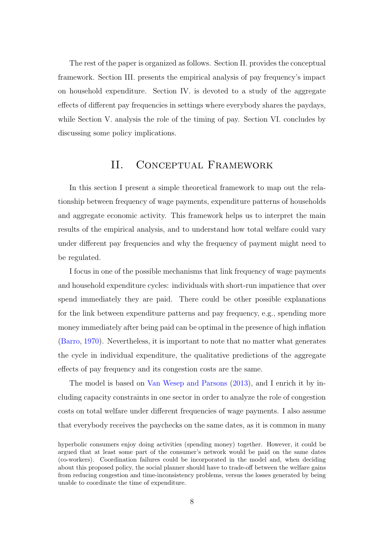The rest of the paper is organized as follows. Section [II.](#page-7-0) provides the conceptual framework. Section [III.](#page-16-0) presents the empirical analysis of pay frequency's impact on household expenditure. Section [IV.](#page-25-0) is devoted to a study of the aggregate effects of different pay frequencies in settings where everybody shares the paydays, while Section [V.](#page-35-0) analysis the role of the timing of pay. Section [VI.](#page-38-0) concludes by discussing some policy implications.

## II. Conceptual Framework

<span id="page-7-0"></span>In this section I present a simple theoretical framework to map out the relationship between frequency of wage payments, expenditure patterns of households and aggregate economic activity. This framework helps us to interpret the main results of the empirical analysis, and to understand how total welfare could vary under different pay frequencies and why the frequency of payment might need to be regulated.

I focus in one of the possible mechanisms that link frequency of wage payments and household expenditure cycles: individuals with short-run impatience that over spend immediately they are paid. There could be other possible explanations for the link between expenditure patterns and pay frequency, e.g., spending more money immediately after being paid can be optimal in the presence of high inflation [\(Barro,](#page-39-1) [1970\)](#page-39-1). Nevertheless, it is important to note that no matter what generates the cycle in individual expenditure, the qualitative predictions of the aggregate effects of pay frequency and its congestion costs are the same.

The model is based on [Van Wesep and Parsons](#page-41-5) [\(2013\)](#page-41-5), and I enrich it by including capacity constraints in one sector in order to analyze the role of congestion costs on total welfare under different frequencies of wage payments. I also assume that everybody receives the paychecks on the same dates, as it is common in many

hyperbolic consumers enjoy doing activities (spending money) together. However, it could be argued that at least some part of the consumer's network would be paid on the same dates (co-workers). Coordination failures could be incorporated in the model and, when deciding about this proposed policy, the social planner should have to trade-off between the welfare gains from reducing congestion and time-inconsistency problems, versus the losses generated by being unable to coordinate the time of expenditure.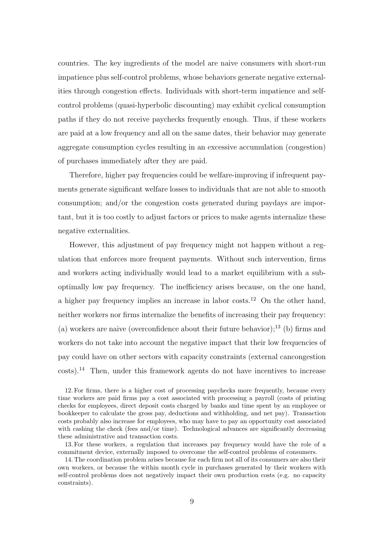countries. The key ingredients of the model are naive consumers with short-run impatience plus self-control problems, whose behaviors generate negative externalities through congestion effects. Individuals with short-term impatience and selfcontrol problems (quasi-hyperbolic discounting) may exhibit cyclical consumption paths if they do not receive paychecks frequently enough. Thus, if these workers are paid at a low frequency and all on the same dates, their behavior may generate aggregate consumption cycles resulting in an excessive accumulation (congestion) of purchases immediately after they are paid.

Therefore, higher pay frequencies could be welfare-improving if infrequent payments generate significant welfare losses to individuals that are not able to smooth consumption; and/or the congestion costs generated during paydays are important, but it is too costly to adjust factors or prices to make agents internalize these negative externalities.

However, this adjustment of pay frequency might not happen without a regulation that enforces more frequent payments. Without such intervention, firms and workers acting individually would lead to a market equilibrium with a suboptimally low pay frequency. The inefficiency arises because, on the one hand, a higher pay frequency implies an increase in labor costs.[12](#page-0-0) On the other hand, neither workers nor firms internalize the benefits of increasing their pay frequency: (a) workers are naive (overconfidence about their future behavior);<sup>[13](#page-0-0)</sup> (b) firms and workers do not take into account the negative impact that their low frequencies of pay could have on other sectors with capacity constraints (external cancongestion costs).[14](#page-0-0) Then, under this framework agents do not have incentives to increase

12. For firms, there is a higher cost of processing paychecks more frequently, because every time workers are paid firms pay a cost associated with processing a payroll (costs of printing checks for employees, direct deposit costs charged by banks and time spent by an employee or bookkeeper to calculate the gross pay, deductions and withholding, and net pay). Transaction costs probably also increase for employees, who may have to pay an opportunity cost associated with cashing the check (fees and/or time). Technological advances are significantly decreasing these administrative and transaction costs.

13. For these workers, a regulation that increases pay frequency would have the role of a commitment device, externally imposed to overcome the self-control problems of consumers.

14. The coordination problem arises because for each firm not all of its consumers are also their own workers, or because the within month cycle in purchases generated by their workers with self-control problems does not negatively impact their own production costs (e.g. no capacity constraints).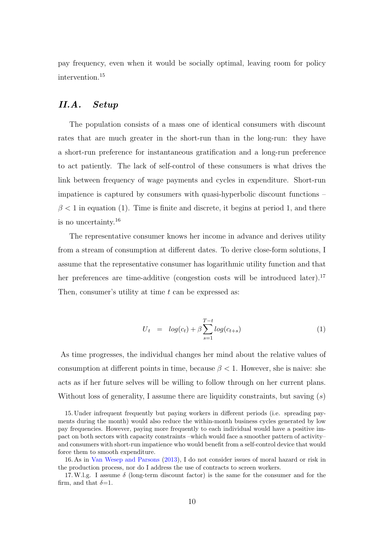pay frequency, even when it would be socially optimal, leaving room for policy intervention.[15](#page-0-0)

## II.A. Setup

The population consists of a mass one of identical consumers with discount rates that are much greater in the short-run than in the long-run: they have a short-run preference for instantaneous gratification and a long-run preference to act patiently. The lack of self-control of these consumers is what drives the link between frequency of wage payments and cycles in expenditure. Short-run impatience is captured by consumers with quasi-hyperbolic discount functions –  $\beta$  < 1 in equation [\(1\).](#page-9-0) Time is finite and discrete, it begins at period 1, and there is no uncertainty.[16](#page-0-0)

The representative consumer knows her income in advance and derives utility from a stream of consumption at different dates. To derive close-form solutions, I assume that the representative consumer has logarithmic utility function and that her preferences are time-additive (congestion costs will be introduced later).<sup>[17](#page-0-0)</sup> Then, consumer's utility at time  $t$  can be expressed as:

<span id="page-9-0"></span>
$$
U_t = log(c_t) + \beta \sum_{s=1}^{T-t} log(c_{t+s})
$$
\n(1)

As time progresses, the individual changes her mind about the relative values of consumption at different points in time, because  $\beta$  < 1. However, she is naive: she acts as if her future selves will be willing to follow through on her current plans. Without loss of generality, I assume there are liquidity constraints, but saving  $(s)$ 

<sup>15.</sup> Under infrequent frequently but paying workers in different periods (i.e. spreading payments during the month) would also reduce the within-month business cycles generated by low pay frequencies. However, paying more frequently to each individual would have a positive impact on both sectors with capacity constraints –which would face a smoother pattern of activity– and consumers with short-run impatience who would benefit from a self-control device that would force them to smooth expenditure.

<sup>16.</sup> As in [Van Wesep and Parsons](#page-41-5) [\(2013\)](#page-41-5), I do not consider issues of moral hazard or risk in the production process, nor do I address the use of contracts to screen workers.

<sup>17.</sup> W.l.g. I assume  $\delta$  (long-term discount factor) is the same for the consumer and for the firm, and that  $\delta$ =1.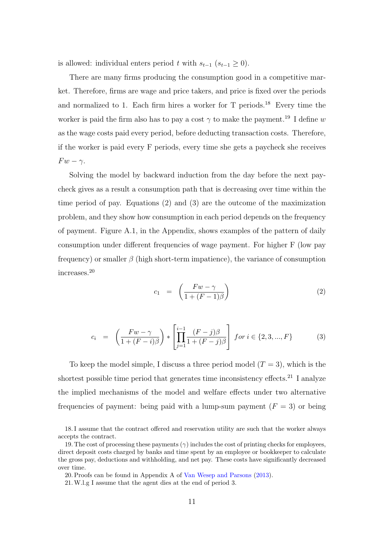is allowed: individual enters period t with  $s_{t-1}$  ( $s_{t-1} \geq 0$ ).

There are many firms producing the consumption good in a competitive market. Therefore, firms are wage and price takers, and price is fixed over the periods and normalized to 1. Each firm hires a worker for  $T$  periods.<sup>[18](#page-0-0)</sup> Every time the worker is paid the firm also has to pay a cost  $\gamma$  to make the payment.<sup>[19](#page-0-0)</sup> I define w as the wage costs paid every period, before deducting transaction costs. Therefore, if the worker is paid every F periods, every time she gets a paycheck she receives  $Fw - \gamma$ .

Solving the model by backward induction from the day before the next paycheck gives as a result a consumption path that is decreasing over time within the time period of pay. Equations [\(2\)](#page-10-0) and [\(3\)](#page-10-1) are the outcome of the maximization problem, and they show how consumption in each period depends on the frequency of payment. Figure [A.1,](#page-55-0) in the Appendix, shows examples of the pattern of daily consumption under different frequencies of wage payment. For higher F (low pay frequency) or smaller  $\beta$  (high short-term impatience), the variance of consumption increases.[20](#page-0-0)

<span id="page-10-0"></span>
$$
c_1 = \left(\frac{Fw - \gamma}{1 + (F - 1)\beta}\right) \tag{2}
$$

<span id="page-10-1"></span>
$$
c_{i} = \left(\frac{Fw-\gamma}{1+(F-i)\beta}\right) * \left[\prod_{j=1}^{i-1} \frac{(F-j)\beta}{1+(F-j)\beta}\right] \text{ for } i \in \{2,3,...,F\} \tag{3}
$$

To keep the model simple, I discuss a three period model  $(T = 3)$ , which is the shortest possible time period that generates time inconsistency effects.<sup>[21](#page-0-0)</sup> I analyze the implied mechanisms of the model and welfare effects under two alternative frequencies of payment: being paid with a lump-sum payment  $(F = 3)$  or being

<sup>18.</sup> I assume that the contract offered and reservation utility are such that the worker always accepts the contract.

<sup>19.</sup> The cost of processing these payments  $(\gamma)$  includes the cost of printing checks for employees, direct deposit costs charged by banks and time spent by an employee or bookkeeper to calculate the gross pay, deductions and withholding, and net pay. These costs have significantly decreased over time.

<sup>20.</sup> Proofs can be found in Appendix A of [Van Wesep and Parsons](#page-41-5) [\(2013\)](#page-41-5).

<sup>21.</sup>W.l.g I assume that the agent dies at the end of period 3.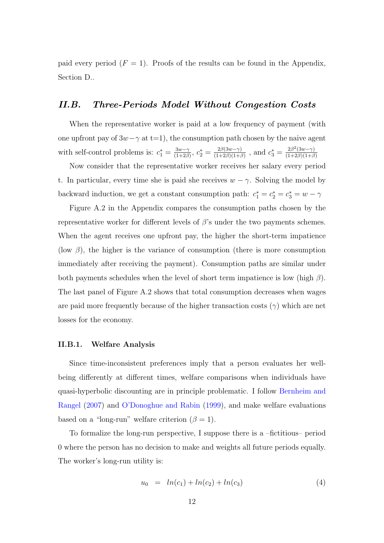paid every period  $(F = 1)$ . Proofs of the results can be found in the Appendix, Section [D..](#page-66-0)

### <span id="page-11-0"></span>II.B. Three-Periods Model Without Congestion Costs

When the representative worker is paid at a low frequency of payment (with one upfront pay of  $3w-\gamma$  at t=1), the consumption path chosen by the naive agent with self-control problems is:  $c_1^* = \frac{3w-\gamma}{(1+2\beta)}$  $\frac{3w-\gamma}{(1+2\beta)}, c_2^* = \frac{2\beta(3w-\gamma)}{(1+2\beta)(1+\beta)}$  $\frac{2\beta(3w-\gamma)}{(1+2\beta)(1+\beta)}$ , and  $c_3^* = \frac{2\beta^2(3w-\gamma)}{(1+2\beta)(1+\beta)}$  $(1+2\beta)(1+\beta)$ 

Now consider that the representative worker receives her salary every period t. In particular, every time she is paid she receives  $w - \gamma$ . Solving the model by backward induction, we get a constant consumption path:  $c_1^* = c_2^* = c_3^* = w - \gamma$ 

Figure [A.2](#page-55-1) in the Appendix compares the consumption paths chosen by the representative worker for different levels of  $\beta$ 's under the two payments schemes. When the agent receives one upfront pay, the higher the short-term impatience (low  $\beta$ ), the higher is the variance of consumption (there is more consumption immediately after receiving the payment). Consumption paths are similar under both payments schedules when the level of short term impatience is low (high  $\beta$ ). The last panel of Figure [A.2](#page-55-1) shows that total consumption decreases when wages are paid more frequently because of the higher transaction costs  $(\gamma)$  which are net losses for the economy.

#### II.B.1. Welfare Analysis

Since time-inconsistent preferences imply that a person evaluates her wellbeing differently at different times, welfare comparisons when individuals have quasi-hyperbolic discounting are in principle problematic. I follow [Bernheim and](#page-39-2) [Rangel](#page-39-2) [\(2007\)](#page-39-2) and [O'Donoghue and Rabin](#page-41-10) [\(1999\)](#page-41-10), and make welfare evaluations based on a "long-run" welfare criterion  $(\beta = 1)$ .

To formalize the long-run perspective, I suppose there is a –fictitious– period 0 where the person has no decision to make and weights all future periods equally. The worker's long-run utility is:

$$
u_0 = ln(c_1) + ln(c_2) + ln(c_3)
$$
\n(4)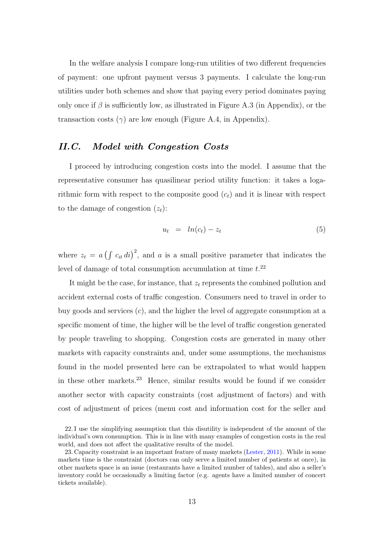In the welfare analysis I compare long-run utilities of two different frequencies of payment: one upfront payment versus 3 payments. I calculate the long-run utilities under both schemes and show that paying every period dominates paying only once if  $\beta$  is sufficiently low, as illustrated in Figure [A.3](#page-56-0) (in Appendix), or the transaction costs  $(\gamma)$  are low enough (Figure [A.4,](#page-56-1) in Appendix).

## II.C. Model with Congestion Costs

I proceed by introducing congestion costs into the model. I assume that the representative consumer has quasilinear period utility function: it takes a logarithmic form with respect to the composite good  $(c_t)$  and it is linear with respect to the damage of congestion  $(z_t)$ :

$$
u_t = ln(c_t) - z_t \tag{5}
$$

where  $z_t = a \left( \int c_{it} \, di \right)^2$ , and a is a small positive parameter that indicates the level of damage of total consumption accumulation at time  $t^{22}$  $t^{22}$  $t^{22}$ .

It might be the case, for instance, that  $z_t$  represents the combined pollution and accident external costs of traffic congestion. Consumers need to travel in order to buy goods and services  $(c)$ , and the higher the level of aggregate consumption at a specific moment of time, the higher will be the level of traffic congestion generated by people traveling to shopping. Congestion costs are generated in many other markets with capacity constraints and, under some assumptions, the mechanisms found in the model presented here can be extrapolated to what would happen in these other markets.[23](#page-0-0) Hence, similar results would be found if we consider another sector with capacity constraints (cost adjustment of factors) and with cost of adjustment of prices (menu cost and information cost for the seller and

<sup>22.</sup> I use the simplifying assumption that this disutility is independent of the amount of the individual's own consumption. This is in line with many examples of congestion costs in the real world, and does not affect the qualitative results of the model.

<sup>23.</sup> Capacity constraint is an important feature of many markets [\(Lester,](#page-40-3) [2011\)](#page-40-3). While in some markets time is the constraint (doctors can only serve a limited number of patients at once), in other markets space is an issue (restaurants have a limited number of tables), and also a seller's inventory could be occasionally a limiting factor (e.g. agents have a limited number of concert tickets available).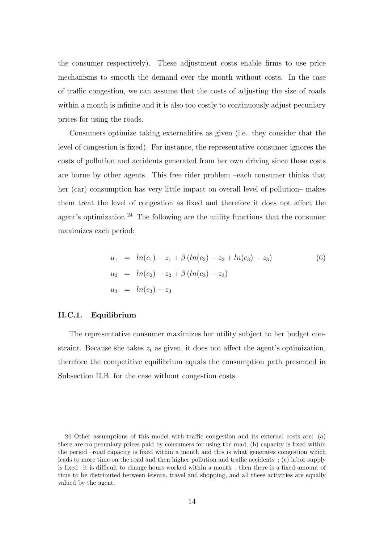the consumer respectively). These adjustment costs enable firms to use price mechanisms to smooth the demand over the month without costs. In the case of traffic congestion, we can assume that the costs of adjusting the size of roads within a month is infinite and it is also too costly to continuously adjust pecuniary prices for using the roads.

Consumers optimize taking externalities as given (i.e. they consider that the level of congestion is fixed). For instance, the representative consumer ignores the costs of pollution and accidents generated from her own driving since these costs are borne by other agents. This free rider problem –each consumer thinks that her (car) consumption has very little impact on overall level of pollution– makes them treat the level of congestion as fixed and therefore it does not affect the agent's optimization.<sup>[24](#page-0-0)</sup> The following are the utility functions that the consumer maximizes each period:

$$
u_1 = ln(c_1) - z_1 + \beta (ln(c_2) - z_2 + ln(c_3) - z_3)
$$
  
\n
$$
u_2 = ln(c_2) - z_2 + \beta (ln(c_3) - z_3)
$$
  
\n
$$
u_3 = ln(c_3) - z_3
$$
\n(6)

#### II.C.1. Equilibrium

The representative consumer maximizes her utility subject to her budget constraint. Because she takes  $z_t$  as given, it does not affect the agent's optimization, therefore the competitive equilibrium equals the consumption path presented in Subsection [II.B.](#page-11-0) for the case without congestion costs.

<sup>24.</sup> Other assumptions of this model with traffic congestion and its external costs are: (a) there are no pecuniary prices paid by consumers for using the road; (b) capacity is fixed within the period –road capacity is fixed within a month and this is what generates congestion which leads to more time on the road and then higher pollution and traffic accidents–; (c) labor supply is fixed –it is difficult to change hours worked within a month–, then there is a fixed amount of time to be distributed between leisure, travel and shopping, and all these activities are equally valued by the agent.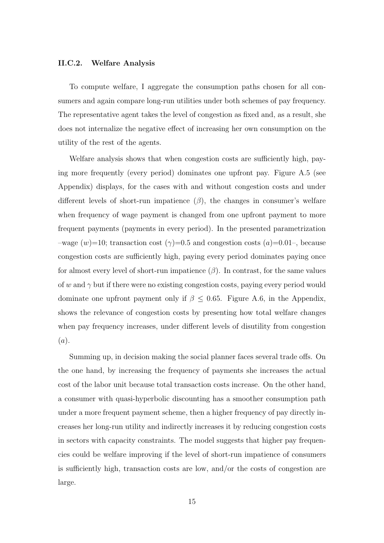#### II.C.2. Welfare Analysis

To compute welfare, I aggregate the consumption paths chosen for all consumers and again compare long-run utilities under both schemes of pay frequency. The representative agent takes the level of congestion as fixed and, as a result, she does not internalize the negative effect of increasing her own consumption on the utility of the rest of the agents.

Welfare analysis shows that when congestion costs are sufficiently high, paying more frequently (every period) dominates one upfront pay. Figure [A.5](#page-57-0) (see Appendix) displays, for the cases with and without congestion costs and under different levels of short-run impatience  $(\beta)$ , the changes in consumer's welfare when frequency of wage payment is changed from one upfront payment to more frequent payments (payments in every period). In the presented parametrization –wage  $(w)=10$ ; transaction cost  $(\gamma)=0.5$  and congestion costs  $(a)=0.01$ –, because congestion costs are sufficiently high, paying every period dominates paying once for almost every level of short-run impatience  $(\beta)$ . In contrast, for the same values of w and  $\gamma$  but if there were no existing congestion costs, paying every period would dominate one upfront payment only if  $\beta \leq 0.65$ . Figure [A.6,](#page-57-1) in the Appendix, shows the relevance of congestion costs by presenting how total welfare changes when pay frequency increases, under different levels of disutility from congestion  $(a).$ 

Summing up, in decision making the social planner faces several trade offs. On the one hand, by increasing the frequency of payments she increases the actual cost of the labor unit because total transaction costs increase. On the other hand, a consumer with quasi-hyperbolic discounting has a smoother consumption path under a more frequent payment scheme, then a higher frequency of pay directly increases her long-run utility and indirectly increases it by reducing congestion costs in sectors with capacity constraints. The model suggests that higher pay frequencies could be welfare improving if the level of short-run impatience of consumers is sufficiently high, transaction costs are low, and/or the costs of congestion are large.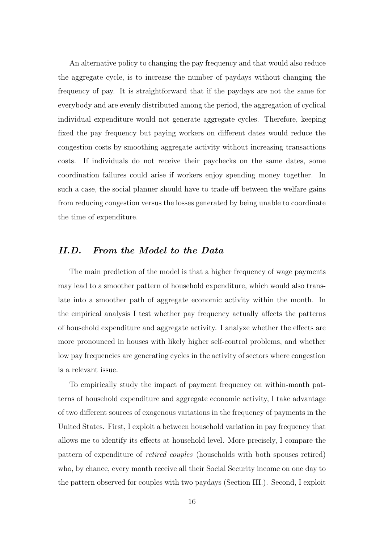An alternative policy to changing the pay frequency and that would also reduce the aggregate cycle, is to increase the number of paydays without changing the frequency of pay. It is straightforward that if the paydays are not the same for everybody and are evenly distributed among the period, the aggregation of cyclical individual expenditure would not generate aggregate cycles. Therefore, keeping fixed the pay frequency but paying workers on different dates would reduce the congestion costs by smoothing aggregate activity without increasing transactions costs. If individuals do not receive their paychecks on the same dates, some coordination failures could arise if workers enjoy spending money together. In such a case, the social planner should have to trade-off between the welfare gains from reducing congestion versus the losses generated by being unable to coordinate the time of expenditure.

## II.D. From the Model to the Data

The main prediction of the model is that a higher frequency of wage payments may lead to a smoother pattern of household expenditure, which would also translate into a smoother path of aggregate economic activity within the month. In the empirical analysis I test whether pay frequency actually affects the patterns of household expenditure and aggregate activity. I analyze whether the effects are more pronounced in houses with likely higher self-control problems, and whether low pay frequencies are generating cycles in the activity of sectors where congestion is a relevant issue.

To empirically study the impact of payment frequency on within-month patterns of household expenditure and aggregate economic activity, I take advantage of two different sources of exogenous variations in the frequency of payments in the United States. First, I exploit a between household variation in pay frequency that allows me to identify its effects at household level. More precisely, I compare the pattern of expenditure of retired couples (households with both spouses retired) who, by chance, every month receive all their Social Security income on one day to the pattern observed for couples with two paydays (Section [III.\)](#page-16-0). Second, I exploit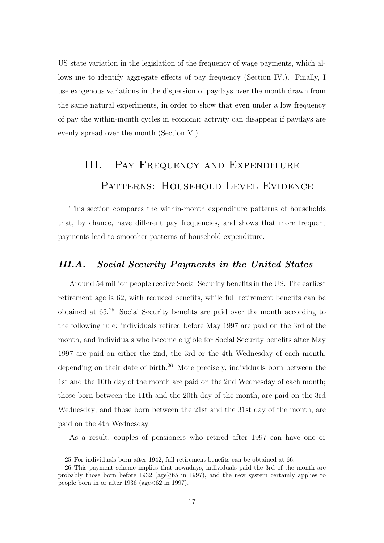US state variation in the legislation of the frequency of wage payments, which allows me to identify aggregate effects of pay frequency (Section [IV.\)](#page-25-0). Finally, I use exogenous variations in the dispersion of paydays over the month drawn from the same natural experiments, in order to show that even under a low frequency of pay the within-month cycles in economic activity can disappear if paydays are evenly spread over the month (Section [V.\)](#page-35-0).

# <span id="page-16-0"></span>III. Pay Frequency and Expenditure PATTERNS: HOUSEHOLD LEVEL EVIDENCE

This section compares the within-month expenditure patterns of households that, by chance, have different pay frequencies, and shows that more frequent payments lead to smoother patterns of household expenditure.

## <span id="page-16-1"></span>III.A. Social Security Payments in the United States

Around 54 million people receive Social Security benefits in the US. The earliest retirement age is 62, with reduced benefits, while full retirement benefits can be obtained at 65.[25](#page-0-0) Social Security benefits are paid over the month according to the following rule: individuals retired before May 1997 are paid on the 3rd of the month, and individuals who become eligible for Social Security benefits after May 1997 are paid on either the 2nd, the 3rd or the 4th Wednesday of each month, depending on their date of birth.<sup>[26](#page-0-0)</sup> More precisely, individuals born between the 1st and the 10th day of the month are paid on the 2nd Wednesday of each month; those born between the 11th and the 20th day of the month, are paid on the 3rd Wednesday; and those born between the 21st and the 31st day of the month, are paid on the 4th Wednesday.

As a result, couples of pensioners who retired after 1997 can have one or

<sup>25.</sup> For individuals born after 1942, full retirement benefits can be obtained at 66.

<sup>26.</sup> This payment scheme implies that nowadays, individuals paid the 3rd of the month are probably those born before 1932 (age $\geq 65$  in 1997), and the new system certainly applies to people born in or after  $1936$  (age $<62$  in 1997).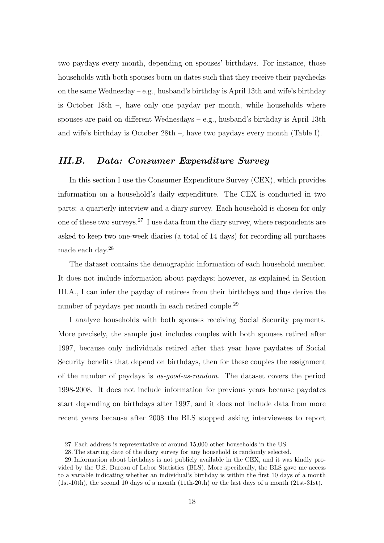two paydays every month, depending on spouses' birthdays. For instance, those households with both spouses born on dates such that they receive their paychecks on the same Wednesday – e.g., husband's birthday is April 13th and wife's birthday is October 18th –, have only one payday per month, while households where spouses are paid on different Wednesdays – e.g., husband's birthday is April 13th and wife's birthday is October 28th –, have two paydays every month (Table [I\)](#page-43-0).

#### III.B. Data: Consumer Expenditure Survey

In this section I use the Consumer Expenditure Survey (CEX), which provides information on a household's daily expenditure. The CEX is conducted in two parts: a quarterly interview and a diary survey. Each household is chosen for only one of these two surveys.[27](#page-0-0) I use data from the diary survey, where respondents are asked to keep two one-week diaries (a total of 14 days) for recording all purchases made each day.[28](#page-0-0)

The dataset contains the demographic information of each household member. It does not include information about paydays; however, as explained in Section [III.A.,](#page-16-1) I can infer the payday of retirees from their birthdays and thus derive the number of paydays per month in each retired couple.<sup>[29](#page-0-0)</sup>

I analyze households with both spouses receiving Social Security payments. More precisely, the sample just includes couples with both spouses retired after 1997, because only individuals retired after that year have paydates of Social Security benefits that depend on birthdays, then for these couples the assignment of the number of paydays is as-good-as-random. The dataset covers the period 1998-2008. It does not include information for previous years because paydates start depending on birthdays after 1997, and it does not include data from more recent years because after 2008 the BLS stopped asking interviewees to report

<sup>27.</sup> Each address is representative of around 15,000 other households in the US.

<sup>28.</sup> The starting date of the diary survey for any household is randomly selected.

<sup>29.</sup> Information about birthdays is not publicly available in the CEX, and it was kindly provided by the U.S. Bureau of Labor Statistics (BLS). More specifically, the BLS gave me access to a variable indicating whether an individual's birthday is within the first 10 days of a month (1st-10th), the second 10 days of a month (11th-20th) or the last days of a month (21st-31st).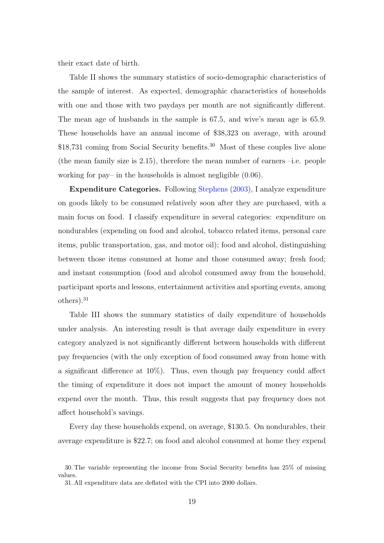their exact date of birth.

Table [II](#page-43-1) shows the summary statistics of socio-demographic characteristics of the sample of interest. As expected, demographic characteristics of households with one and those with two paydays per month are not significantly different. The mean age of husbands in the sample is 67.5, and wive's mean age is 65.9. These households have an annual income of \$38,323 on average, with around \$18,731 coming from Social Security benefits.<sup>[30](#page-0-0)</sup> Most of these couples live alone (the mean family size is  $(2.15)$ , therefore the mean number of earners  $-i.e.$  people working for pay– in the households is almost negligible (0.06).

Expenditure Categories. Following [Stephens](#page-41-0) [\(2003\)](#page-41-0), I analyze expenditure on goods likely to be consumed relatively soon after they are purchased, with a main focus on food. I classify expenditure in several categories: expenditure on nondurables (expending on food and alcohol, tobacco related items, personal care items, public transportation, gas, and motor oil); food and alcohol, distinguishing between those items consumed at home and those consumed away; fresh food; and instant consumption (food and alcohol consumed away from the household, participant sports and lessons, entertainment activities and sporting events, among others).[31](#page-0-0)

Table [III](#page-44-0) shows the summary statistics of daily expenditure of households under analysis. An interesting result is that average daily expenditure in every category analyzed is not significantly different between households with different pay frequencies (with the only exception of food consumed away from home with a significant difference at 10%). Thus, even though pay frequency could affect the timing of expenditure it does not impact the amount of money households expend over the month. Thus, this result suggests that pay frequency does not affect household's savings.

Every day these households expend, on average, \$130.5. On nondurables, their average expenditure is \$22.7; on food and alcohol consumed at home they expend

<sup>30.</sup> The variable representing the income from Social Security benefits has 25% of missing values.

<sup>31.</sup> All expenditure data are deflated with the CPI into 2000 dollars.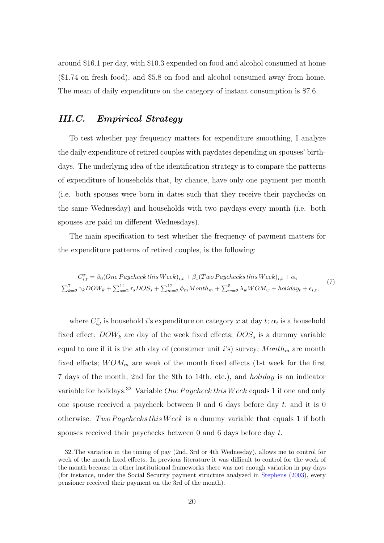around \$16.1 per day, with \$10.3 expended on food and alcohol consumed at home (\$1.74 on fresh food), and \$5.8 on food and alcohol consumed away from home. The mean of daily expenditure on the category of instant consumption is \$7.6.

## III.C. Empirical Strategy

To test whether pay frequency matters for expenditure smoothing, I analyze the daily expenditure of retired couples with paydates depending on spouses' birthdays. The underlying idea of the identification strategy is to compare the patterns of expenditure of households that, by chance, have only one payment per month (i.e. both spouses were born in dates such that they receive their paychecks on the same Wednesday) and households with two paydays every month (i.e. both spouses are paid on different Wednesdays).

The main specification to test whether the frequency of payment matters for the expenditure patterns of retired couples, is the following:

<span id="page-19-0"></span>
$$
C_{i,t}^{x} = \beta_0 (One \,Paycheck \, this \, Week)_{i,t} + \beta_1 (Two \, Paycheck \, this \, Week)_{i,t} + \alpha_i + \sum_{k=2}^{7} \gamma_k DOW_k + \sum_{s=2}^{14} \tau_s DOS_s + \sum_{m=2}^{12} \phi_m Month_m + \sum_{w=2}^{5} \lambda_w WOM_w + holiday_t + \epsilon_{i,t},
$$
\n(7)

where  $C_{i,t}^x$  is household i's expenditure on category x at day t;  $\alpha_i$  is a household fixed effect;  $DOW_k$  are day of the week fixed effects;  $DOS_s$  is a dummy variable equal to one if it is the sth day of (consumer unit i's) survey;  $Month_m$  are month fixed effects;  $WOM_m$  are week of the month fixed effects (1st week for the first 7 days of the month, 2nd for the 8th to 14th, etc.), and holiday is an indicator variable for holidays.<sup>[32](#page-0-0)</sup> Variable One Paycheck this Week equals 1 if one and only one spouse received a paycheck between 0 and 6 days before day  $t$ , and it is 0 otherwise. Two Paychecks this Week is a dummy variable that equals 1 if both spouses received their paychecks between 0 and 6 days before day t.

<sup>32.</sup> The variation in the timing of pay (2nd, 3rd or 4th Wednesday), allows me to control for week of the month fixed effects. In previous literature it was difficult to control for the week of the month because in other institutional frameworks there was not enough variation in pay days (for instance, under the Social Security payment structure analyzed in [Stephens](#page-41-0) [\(2003\)](#page-41-0), every pensioner received their payment on the 3rd of the month).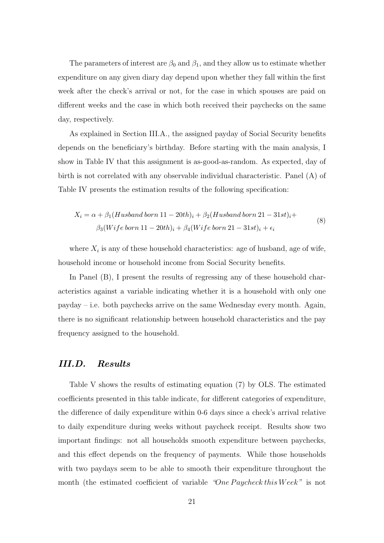The parameters of interest are  $\beta_0$  and  $\beta_1$ , and they allow us to estimate whether expenditure on any given diary day depend upon whether they fall within the first week after the check's arrival or not, for the case in which spouses are paid on different weeks and the case in which both received their paychecks on the same day, respectively.

As explained in Section [III.A.,](#page-16-1) the assigned payday of Social Security benefits depends on the beneficiary's birthday. Before starting with the main analysis, I show in Table [IV](#page-45-0) that this assignment is as-good-as-random. As expected, day of birth is not correlated with any observable individual characteristic. Panel (A) of Table [IV](#page-45-0) presents the estimation results of the following specification:

$$
X_i = \alpha + \beta_1 (Husband born 11 - 20th)_i + \beta_2 (Husband born 21 - 31st)_i +
$$
  

$$
\beta_3 (Wife born 11 - 20th)_i + \beta_4 (Wife born 21 - 31st)_i + \epsilon_i
$$
 (8)

where  $X_i$  is any of these household characteristics: age of husband, age of wife, household income or household income from Social Security benefits.

In Panel (B), I present the results of regressing any of these household characteristics against a variable indicating whether it is a household with only one payday – i.e. both paychecks arrive on the same Wednesday every month. Again, there is no significant relationship between household characteristics and the pay frequency assigned to the household.

#### <span id="page-20-0"></span>III.D. Results

Table [V](#page-46-0) shows the results of estimating equation [\(7\)](#page-19-0) by OLS. The estimated coefficients presented in this table indicate, for different categories of expenditure, the difference of daily expenditure within 0-6 days since a check's arrival relative to daily expenditure during weeks without paycheck receipt. Results show two important findings: not all households smooth expenditure between paychecks, and this effect depends on the frequency of payments. While those households with two paydays seem to be able to smooth their expenditure throughout the month (the estimated coefficient of variable "One Paycheck this Week" is not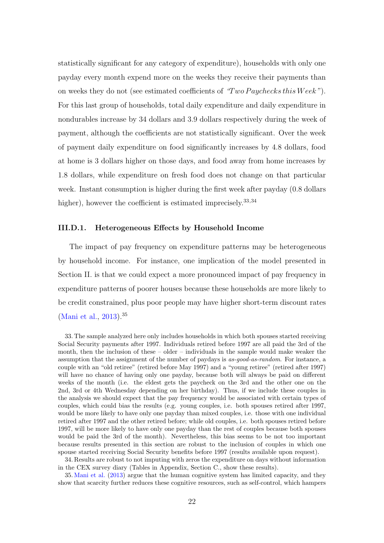statistically significant for any category of expenditure), households with only one payday every month expend more on the weeks they receive their payments than on weeks they do not (see estimated coefficients of  $Two \, P \, av\, check \, s'$ ). For this last group of households, total daily expenditure and daily expenditure in nondurables increase by 34 dollars and 3.9 dollars respectively during the week of payment, although the coefficients are not statistically significant. Over the week of payment daily expenditure on food significantly increases by 4.8 dollars, food at home is 3 dollars higher on those days, and food away from home increases by 1.8 dollars, while expenditure on fresh food does not change on that particular week. Instant consumption is higher during the first week after payday (0.8 dollars higher), however the coefficient is estimated imprecisely.<sup>[33](#page-0-0),[34](#page-0-0)</sup>

#### III.D.1. Heterogeneous Effects by Household Income

The impact of pay frequency on expenditure patterns may be heterogeneous by household income. For instance, one implication of the model presented in Section [II.](#page-7-0) is that we could expect a more pronounced impact of pay frequency in expenditure patterns of poorer houses because these households are more likely to be credit constrained, plus poor people may have higher short-term discount rates [\(Mani et al.,](#page-41-9) [2013\)](#page-41-9).[35](#page-0-0)

33. The sample analyzed here only includes households in which both spouses started receiving Social Security payments after 1997. Individuals retired before 1997 are all paid the 3rd of the month, then the inclusion of these – older – individuals in the sample would make weaker the assumption that the assignment of the number of paydays is as-good-as-random. For instance, a couple with an "old retiree" (retired before May 1997) and a "young retiree" (retired after 1997) will have no chance of having only one payday, because both will always be paid on different weeks of the month (i.e. the eldest gets the paycheck on the 3rd and the other one on the 2nd, 3rd or 4th Wednesday depending on her birthday). Thus, if we include these couples in the analysis we should expect that the pay frequency would be associated with certain types of couples, which could bias the results (e.g. young couples, i.e. both spouses retired after 1997, would be more likely to have only one payday than mixed couples, i.e. those with one individual retired after 1997 and the other retired before; while old couples, i.e. both spouses retired before 1997, will be more likely to have only one payday than the rest of couples because both spouses would be paid the 3rd of the month). Nevertheless, this bias seems to be not too important because results presented in this section are robust to the inclusion of couples in which one spouse started receiving Social Security benefits before 1997 (results available upon request).

34. Results are robust to not imputing with zeros the expenditure on days without information in the CEX survey diary (Tables in Appendix, Section [C.,](#page-60-0) show these results).

35. [Mani et al.](#page-41-9) [\(2013\)](#page-41-9) argue that the human cognitive system has limited capacity, and they show that scarcity further reduces these cognitive resources, such as self-control, which hampers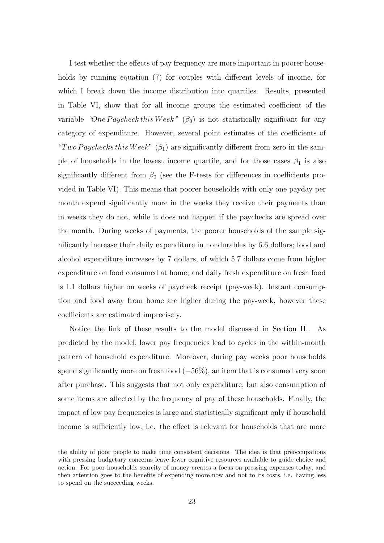I test whether the effects of pay frequency are more important in poorer households by running equation [\(7\)](#page-19-0) for couples with different levels of income, for which I break down the income distribution into quartiles. Results, presented in Table [VI,](#page-47-0) show that for all income groups the estimated coefficient of the variable "One Paycheck this Week"  $(\beta_0)$  is not statistically significant for any category of expenditure. However, several point estimates of the coefficients of "Two Paychecks this Week"  $(\beta_1)$  are significantly different from zero in the sample of households in the lowest income quartile, and for those cases  $\beta_1$  is also significantly different from  $\beta_0$  (see the F-tests for differences in coefficients provided in Table [VI\)](#page-47-0). This means that poorer households with only one payday per month expend significantly more in the weeks they receive their payments than in weeks they do not, while it does not happen if the paychecks are spread over the month. During weeks of payments, the poorer households of the sample significantly increase their daily expenditure in nondurables by 6.6 dollars; food and alcohol expenditure increases by 7 dollars, of which 5.7 dollars come from higher expenditure on food consumed at home; and daily fresh expenditure on fresh food is 1.1 dollars higher on weeks of paycheck receipt (pay-week). Instant consumption and food away from home are higher during the pay-week, however these coefficients are estimated imprecisely.

Notice the link of these results to the model discussed in Section [II..](#page-7-0) As predicted by the model, lower pay frequencies lead to cycles in the within-month pattern of household expenditure. Moreover, during pay weeks poor households spend significantly more on fresh food  $(+56\%)$ , an item that is consumed very soon after purchase. This suggests that not only expenditure, but also consumption of some items are affected by the frequency of pay of these households. Finally, the impact of low pay frequencies is large and statistically significant only if household income is sufficiently low, i.e. the effect is relevant for households that are more

the ability of poor people to make time consistent decisions. The idea is that preoccupations with pressing budgetary concerns leave fewer cognitive resources available to guide choice and action. For poor households scarcity of money creates a focus on pressing expenses today, and then attention goes to the benefits of expending more now and not to its costs, i.e. having less to spend on the succeeding weeks.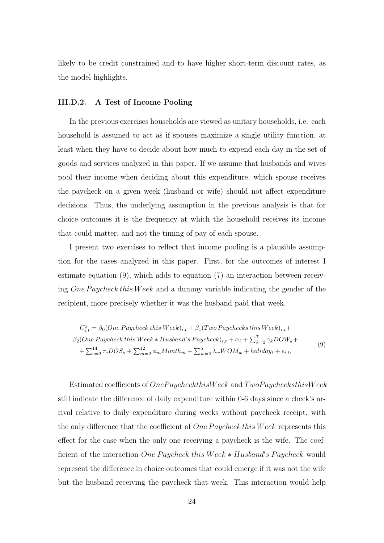likely to be credit constrained and to have higher short-term discount rates, as the model highlights.

#### <span id="page-23-0"></span>III.D.2. A Test of Income Pooling

In the previous exercises households are viewed as unitary households, i.e. each household is assumed to act as if spouses maximize a single utility function, at least when they have to decide about how much to expend each day in the set of goods and services analyzed in this paper. If we assume that husbands and wives pool their income when deciding about this expenditure, which spouse receives the paycheck on a given week (husband or wife) should not affect expenditure decisions. Thus, the underlying assumption in the previous analysis is that for choice outcomes it is the frequency at which the household receives its income that could matter, and not the timing of pay of each spouse.

I present two exercises to reflect that income pooling is a plausible assumption for the cases analyzed in this paper. First, for the outcomes of interest I estimate equation [\(9\),](#page-23-1) which adds to equation [\(7\)](#page-19-0) an interaction between receiving One Paycheck this Week and a dummy variable indicating the gender of the recipient, more precisely whether it was the husband paid that week.

<span id="page-23-1"></span>
$$
C_{i,t}^{x} = \beta_0 (One\ Paycheck this\ West)_{i,t} + \beta_1 (Two\ Paycheck this\ West)_{i,t} + \n\beta_2 (One\ Paycheck this\ West\ * \ Husband's\ Paycheck)_{i,t} + \alpha_i + \sum_{k=2}^{7} \gamma_k DOW_k + \n+ \sum_{s=2}^{14} \tau_s DOS_s + \sum_{m=2}^{12} \phi_m Month_m + \sum_{w=2}^{5} \lambda_w WOM_w + holiday_t + \epsilon_{i,t},
$$
\n(9)

Estimated coefficients of OnePaycheckthisWeek and TwoPaychecksthisWeek still indicate the difference of daily expenditure within 0-6 days since a check's arrival relative to daily expenditure during weeks without paycheck receipt, with the only difference that the coefficient of *One Paycheck this Week* represents this effect for the case when the only one receiving a paycheck is the wife. The coefficient of the interaction One Paycheck this Week \* Husband's Paycheck would represent the difference in choice outcomes that could emerge if it was not the wife but the husband receiving the paycheck that week. This interaction would help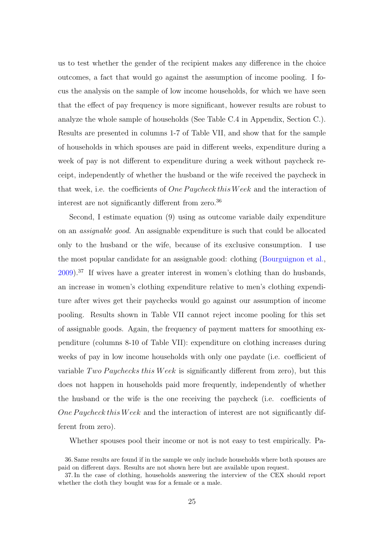us to test whether the gender of the recipient makes any difference in the choice outcomes, a fact that would go against the assumption of income pooling. I focus the analysis on the sample of low income households, for which we have seen that the effect of pay frequency is more significant, however results are robust to analyze the whole sample of households (See Table [C.4](#page-64-0) in Appendix, Section [C.\)](#page-60-0). Results are presented in columns 1-7 of Table [VII,](#page-48-0) and show that for the sample of households in which spouses are paid in different weeks, expenditure during a week of pay is not different to expenditure during a week without paycheck receipt, independently of whether the husband or the wife received the paycheck in that week, i.e. the coefficients of  $One \, Paycheck this \, Week$  and the interaction of interest are not significantly different from zero.[36](#page-0-0)

Second, I estimate equation [\(9\)](#page-23-1) using as outcome variable daily expenditure on an assignable good. An assignable expenditure is such that could be allocated only to the husband or the wife, because of its exclusive consumption. I use the most popular candidate for an assignable good: clothing [\(Bourguignon et al.,](#page-40-4) [2009\)](#page-40-4).[37](#page-0-0) If wives have a greater interest in women's clothing than do husbands, an increase in women's clothing expenditure relative to men's clothing expenditure after wives get their paychecks would go against our assumption of income pooling. Results shown in Table [VII](#page-48-0) cannot reject income pooling for this set of assignable goods. Again, the frequency of payment matters for smoothing expenditure (columns 8-10 of Table [VII\)](#page-48-0): expenditure on clothing increases during weeks of pay in low income households with only one paydate (i.e. coefficient of variable Two Paychecks this Week is significantly different from zero), but this does not happen in households paid more frequently, independently of whether the husband or the wife is the one receiving the paycheck (i.e. coefficients of One Paycheck this Week and the interaction of interest are not significantly different from zero).

Whether spouses pool their income or not is not easy to test empirically. Pa-

<sup>36.</sup> Same results are found if in the sample we only include households where both spouses are paid on different days. Results are not shown here but are available upon request.

<sup>37.</sup> In the case of clothing, households answering the interview of the CEX should report whether the cloth they bought was for a female or a male.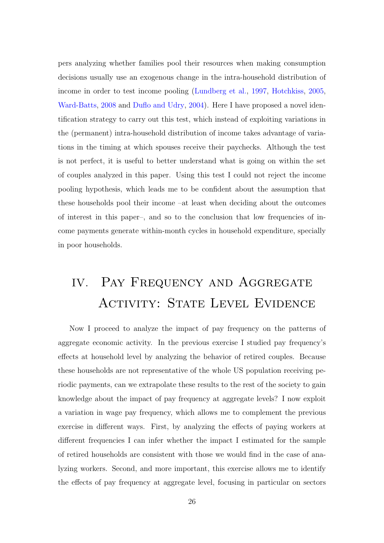pers analyzing whether families pool their resources when making consumption decisions usually use an exogenous change in the intra-household distribution of income in order to test income pooling [\(Lundberg et al.,](#page-41-11) [1997,](#page-41-11) [Hotchkiss,](#page-40-5) [2005,](#page-40-5) [Ward-Batts,](#page-42-0) [2008](#page-42-0) and [Duflo and Udry,](#page-40-6) [2004\)](#page-40-6). Here I have proposed a novel identification strategy to carry out this test, which instead of exploiting variations in the (permanent) intra-household distribution of income takes advantage of variations in the timing at which spouses receive their paychecks. Although the test is not perfect, it is useful to better understand what is going on within the set of couples analyzed in this paper. Using this test I could not reject the income pooling hypothesis, which leads me to be confident about the assumption that these households pool their income –at least when deciding about the outcomes of interest in this paper–, and so to the conclusion that low frequencies of income payments generate within-month cycles in household expenditure, specially in poor households.

# <span id="page-25-0"></span>IV. PAY FREQUENCY AND AGGREGATE ACTIVITY: STATE LEVEL EVIDENCE

Now I proceed to analyze the impact of pay frequency on the patterns of aggregate economic activity. In the previous exercise I studied pay frequency's effects at household level by analyzing the behavior of retired couples. Because these households are not representative of the whole US population receiving periodic payments, can we extrapolate these results to the rest of the society to gain knowledge about the impact of pay frequency at aggregate levels? I now exploit a variation in wage pay frequency, which allows me to complement the previous exercise in different ways. First, by analyzing the effects of paying workers at different frequencies I can infer whether the impact I estimated for the sample of retired households are consistent with those we would find in the case of analyzing workers. Second, and more important, this exercise allows me to identify the effects of pay frequency at aggregate level, focusing in particular on sectors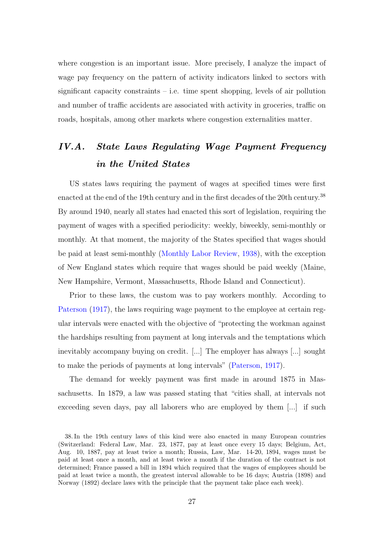where congestion is an important issue. More precisely, I analyze the impact of wage pay frequency on the pattern of activity indicators linked to sectors with significant capacity constraints  $-$  i.e. time spent shopping, levels of air pollution and number of traffic accidents are associated with activity in groceries, traffic on roads, hospitals, among other markets where congestion externalities matter.

## IV.A. State Laws Regulating Wage Payment Frequency in the United States

US states laws requiring the payment of wages at specified times were first enacted at the end of the 19th century and in the first decades of the 20th century.<sup>[38](#page-0-0)</sup> By around 1940, nearly all states had enacted this sort of legislation, requiring the payment of wages with a specified periodicity: weekly, biweekly, semi-monthly or monthly. At that moment, the majority of the States specified that wages should be paid at least semi-monthly [\(Monthly Labor Review,](#page-41-12) [1938\)](#page-41-12), with the exception of New England states which require that wages should be paid weekly (Maine, New Hampshire, Vermont, Massachusetts, Rhode Island and Connecticut).

Prior to these laws, the custom was to pay workers monthly. According to [Paterson](#page-41-6) [\(1917\)](#page-41-6), the laws requiring wage payment to the employee at certain regular intervals were enacted with the objective of "protecting the workman against the hardships resulting from payment at long intervals and the temptations which inevitably accompany buying on credit. [...] The employer has always [...] sought to make the periods of payments at long intervals" [\(Paterson,](#page-41-6) [1917\)](#page-41-6).

The demand for weekly payment was first made in around 1875 in Massachusetts. In 1879, a law was passed stating that "cities shall, at intervals not exceeding seven days, pay all laborers who are employed by them [...] if such

<sup>38.</sup> In the 19th century laws of this kind were also enacted in many European countries (Switzerland: Federal Law, Mar. 23, 1877, pay at least once every 15 days; Belgium, Act, Aug. 10, 1887, pay at least twice a month; Russia, Law, Mar. 14-20, 1894, wages must be paid at least once a month, and at least twice a month if the duration of the contract is not determined; France passed a bill in 1894 which required that the wages of employees should be paid at least twice a month, the greatest interval allowable to be 16 days; Austria (1898) and Norway (1892) declare laws with the principle that the payment take place each week).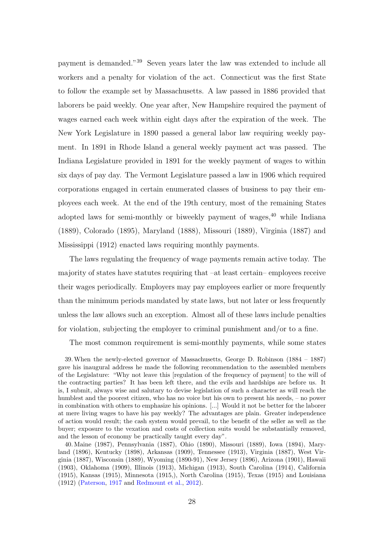payment is demanded."[39](#page-0-0) Seven years later the law was extended to include all workers and a penalty for violation of the act. Connecticut was the first State to follow the example set by Massachusetts. A law passed in 1886 provided that laborers be paid weekly. One year after, New Hampshire required the payment of wages earned each week within eight days after the expiration of the week. The New York Legislature in 1890 passed a general labor law requiring weekly payment. In 1891 in Rhode Island a general weekly payment act was passed. The Indiana Legislature provided in 1891 for the weekly payment of wages to within six days of pay day. The Vermont Legislature passed a law in 1906 which required corporations engaged in certain enumerated classes of business to pay their employees each week. At the end of the 19th century, most of the remaining States adopted laws for semi-monthly or biweekly payment of wages,<sup>[40](#page-0-0)</sup> while Indiana (1889), Colorado (1895), Maryland (1888), Missouri (1889), Virginia (1887) and Mississippi (1912) enacted laws requiring monthly payments.

The laws regulating the frequency of wage payments remain active today. The majority of states have statutes requiring that –at least certain– employees receive their wages periodically. Employers may pay employees earlier or more frequently than the minimum periods mandated by state laws, but not later or less frequently unless the law allows such an exception. Almost all of these laws include penalties for violation, subjecting the employer to criminal punishment and/or to a fine.

The most common requirement is semi-monthly payments, while some states

39.When the newly-elected governor of Massachusetts, George D. Robinson (1884 – 1887) gave his inaugural address he made the following recommendation to the assembled members of the Legislature: "Why not leave this [regulation of the frequency of payment] to the will of the contracting parties? It has been left there, and the evils and hardships are before us. It is, I submit, always wise and salutary to devise legislation of such a character as will reach the humblest and the poorest citizen, who has no voice but his own to present his needs, – no power in combination with others to emphasize his opinions. [...] Would it not be better for the laborer at mere living wages to have his pay weekly? The advantages are plain. Greater independence of action would result; the cash system would prevail, to the benefit of the seller as well as the buyer; exposure to the vexation and costs of collection suits would be substantially removed, and the lesson of economy be practically taught every day".

40. Maine (1987), Pennsylvania (1887), Ohio (1890), Missouri (1889), Iowa (1894), Maryland (1896), Kentucky (1898), Arkansas (1909), Tennessee (1913), Virginia (1887), West Virginia (1887), Wisconsin (1889), Wyoming (1890-91), New Jersey (1896), Arizona (1901), Hawaii (1903), Oklahoma (1909), Illinois (1913), Michigan (1913), South Carolina (1914), California (1915), Kansas (1915), Minnesota (1915,), North Carolina (1915), Texas (1915) and Louisiana (1912) [\(Paterson,](#page-41-6) [1917](#page-41-6) and [Redmount et al.,](#page-41-13) [2012\)](#page-41-13).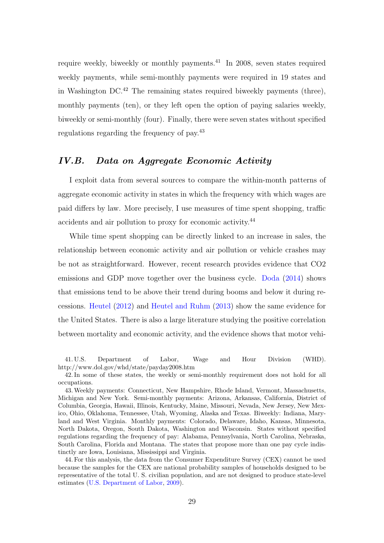require weekly, biweekly or monthly payments.<sup>[41](#page-0-0)</sup> In 2008, seven states required weekly payments, while semi-monthly payments were required in 19 states and in Washington  $DC^{42}$  $DC^{42}$  $DC^{42}$  The remaining states required biweekly payments (three), monthly payments (ten), or they left open the option of paying salaries weekly, biweekly or semi-monthly (four). Finally, there were seven states without specified regulations regarding the frequency of pay.[43](#page-0-0)

### IV.B. Data on Aggregate Economic Activity

I exploit data from several sources to compare the within-month patterns of aggregate economic activity in states in which the frequency with which wages are paid differs by law. More precisely, I use measures of time spent shopping, traffic accidents and air pollution to proxy for economic activity.[44](#page-0-0)

While time spent shopping can be directly linked to an increase in sales, the relationship between economic activity and air pollution or vehicle crashes may be not as straightforward. However, recent research provides evidence that CO2 emissions and GDP move together over the business cycle. [Doda](#page-40-7) [\(2014\)](#page-40-7) shows that emissions tend to be above their trend during booms and below it during recessions. [Heutel](#page-40-8) [\(2012\)](#page-40-8) and [Heutel and Ruhm](#page-40-9) [\(2013\)](#page-40-9) show the same evidence for the United States. There is also a large literature studying the positive correlation between mortality and economic activity, and the evidence shows that motor vehi-

41. U.S. Department of Labor, Wage and Hour Division (WHD). http://www.dol.gov/whd/state/payday2008.htm

42. In some of these states, the weekly or semi-monthly requirement does not hold for all occupations.

44. For this analysis, the data from the Consumer Expenditure Survey (CEX) cannot be used because the samples for the CEX are national probability samples of households designed to be representative of the total U. S. civilian population, and are not designed to produce state-level estimates [\(U.S. Department of Labor,](#page-41-14) [2009\)](#page-41-14).

<sup>43.</sup>Weekly payments: Connecticut, New Hampshire, Rhode Island, Vermont, Massachusetts, Michigan and New York. Semi-monthly payments: Arizona, Arkansas, California, District of Columbia, Georgia, Hawaii, Illinois, Kentucky, Maine, Missouri, Nevada, New Jersey, New Mexico, Ohio, Oklahoma, Tennessee, Utah, Wyoming, Alaska and Texas. Biweekly: Indiana, Maryland and West Virginia. Monthly payments: Colorado, Delaware, Idaho, Kansas, Minnesota, North Dakota, Oregon, South Dakota, Washington and Wisconsin. States without specified regulations regarding the frequency of pay: Alabama, Pennsylvania, North Carolina, Nebraska, South Carolina, Florida and Montana. The states that propose more than one pay cycle indistinctly are Iowa, Louisiana, Mississippi and Virginia.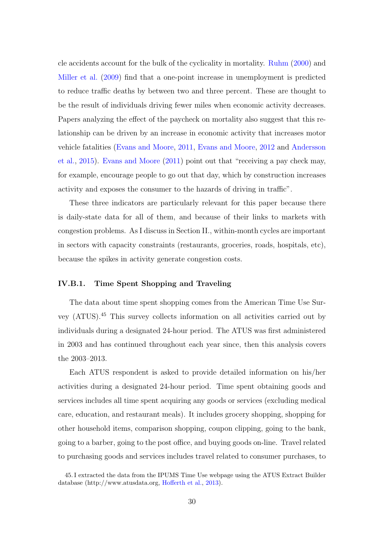cle accidents account for the bulk of the cyclicality in mortality. [Ruhm](#page-41-15) [\(2000\)](#page-41-15) and [Miller et al.](#page-41-16) [\(2009\)](#page-41-16) find that a one-point increase in unemployment is predicted to reduce traffic deaths by between two and three percent. These are thought to be the result of individuals driving fewer miles when economic activity decreases. Papers analyzing the effect of the paycheck on mortality also suggest that this relationship can be driven by an increase in economic activity that increases motor vehicle fatalities [\(Evans and Moore,](#page-40-0) [2011,](#page-40-0) [Evans and Moore,](#page-40-1) [2012](#page-40-1) and [Andersson](#page-39-0) [et al.,](#page-39-0) [2015\)](#page-39-0). [Evans and Moore](#page-40-0) [\(2011\)](#page-40-0) point out that "receiving a pay check may, for example, encourage people to go out that day, which by construction increases activity and exposes the consumer to the hazards of driving in traffic".

These three indicators are particularly relevant for this paper because there is daily-state data for all of them, and because of their links to markets with congestion problems. As I discuss in Section [II.,](#page-7-0) within-month cycles are important in sectors with capacity constraints (restaurants, groceries, roads, hospitals, etc), because the spikes in activity generate congestion costs.

#### IV.B.1. Time Spent Shopping and Traveling

The data about time spent shopping comes from the American Time Use Survey (ATUS).[45](#page-0-0) This survey collects information on all activities carried out by individuals during a designated 24-hour period. The ATUS was first administered in 2003 and has continued throughout each year since, then this analysis covers the 2003–2013.

Each ATUS respondent is asked to provide detailed information on his/her activities during a designated 24-hour period. Time spent obtaining goods and services includes all time spent acquiring any goods or services (excluding medical care, education, and restaurant meals). It includes grocery shopping, shopping for other household items, comparison shopping, coupon clipping, going to the bank, going to a barber, going to the post office, and buying goods on-line. Travel related to purchasing goods and services includes travel related to consumer purchases, to

<sup>45.</sup> I extracted the data from the IPUMS Time Use webpage using the ATUS Extract Builder database (http://www.atusdata.org, [Hofferth et al.,](#page-40-10) [2013\)](#page-40-10).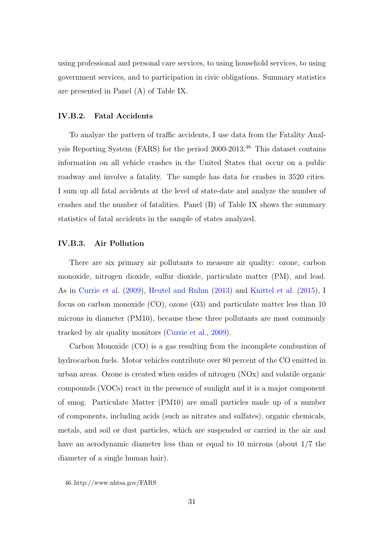using professional and personal care services, to using household services, to using government services, and to participation in civic obligations. Summary statistics are presented in Panel (A) of Table [IX.](#page-50-0)

#### IV.B.2. Fatal Accidents

To analyze the pattern of traffic accidents, I use data from the Fatality Analysis Reporting System (FARS) for the period 2000-2013.[46](#page-0-0) This dataset contains information on all vehicle crashes in the United States that occur on a public roadway and involve a fatality. The sample has data for crashes in 3520 cities. I sum up all fatal accidents at the level of state-date and analyze the number of crashes and the number of fatalities. Panel (B) of Table [IX](#page-50-0) shows the summary statistics of fatal accidents in the sample of states analyzed.

#### IV.B.3. Air Pollution

There are six primary air pollutants to measure air quality: ozone, carbon monoxide, nitrogen dioxide, sulfur dioxide, particulate matter (PM), and lead. As in [Currie et al.](#page-40-11) [\(2009\)](#page-40-11), [Heutel and Ruhm](#page-40-9) [\(2013\)](#page-40-9) and [Knittel et al.](#page-40-12) [\(2015\)](#page-40-12), I focus on carbon monoxide (CO), ozone (O3) and particulate matter less than 10 microns in diameter (PM10), because these three pollutants are most commonly tracked by air quality monitors [\(Currie et al.,](#page-40-11) [2009\)](#page-40-11).

Carbon Monoxide (CO) is a gas resulting from the incomplete combustion of hydrocarbon fuels. Motor vehicles contribute over 80 percent of the CO emitted in urban areas. Ozone is created when oxides of nitrogen (NOx) and volatile organic compounds (VOCs) react in the presence of sunlight and it is a major component of smog. Particulate Matter (PM10) are small particles made up of a number of components, including acids (such as nitrates and sulfates), organic chemicals, metals, and soil or dust particles, which are suspended or carried in the air and have an aerodynamic diameter less than or equal to 10 microns (about 1/7 the diameter of a single human hair).

46. http://www.nhtsa.gov/FARS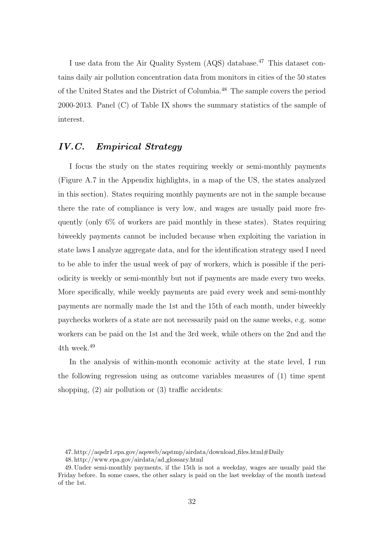I use data from the Air Quality System (AQS) database.<sup>[47](#page-0-0)</sup> This dataset contains daily air pollution concentration data from monitors in cities of the 50 states of the United States and the District of Columbia.[48](#page-0-0) The sample covers the period 2000-2013. Panel (C) of Table [IX](#page-50-0) shows the summary statistics of the sample of interest.

## IV.C. Empirical Strategy

I focus the study on the states requiring weekly or semi-monthly payments (Figure [A.7](#page-58-0) in the Appendix highlights, in a map of the US, the states analyzed in this section). States requiring monthly payments are not in the sample because there the rate of compliance is very low, and wages are usually paid more frequently (only 6% of workers are paid monthly in these states). States requiring biweekly payments cannot be included because when exploiting the variation in state laws I analyze aggregate data, and for the identification strategy used I need to be able to infer the usual week of pay of workers, which is possible if the periodicity is weekly or semi-monthly but not if payments are made every two weeks. More specifically, while weekly payments are paid every week and semi-monthly payments are normally made the 1st and the 15th of each month, under biweekly paychecks workers of a state are not necessarily paid on the same weeks, e.g. some workers can be paid on the 1st and the 3rd week, while others on the 2nd and the 4th week.<sup>[49](#page-0-0)</sup>

In the analysis of within-month economic activity at the state level, I run the following regression using as outcome variables measures of (1) time spent shopping, (2) air pollution or (3) traffic accidents:

<sup>47.</sup> http://aqsdr1.epa.gov/aqsweb/aqstmp/airdata/download files.html#Daily

<sup>48.</sup> http://www.epa.gov/airdata/ad glossary.html

<sup>49.</sup> Under semi-monthly payments, if the 15th is not a weekday, wages are usually paid the Friday before. In some cases, the other salary is paid on the last weekday of the month instead of the 1st.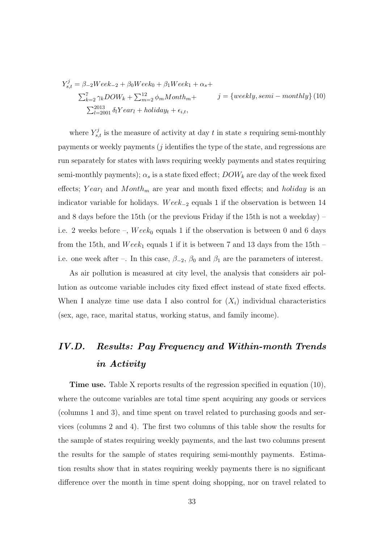<span id="page-32-0"></span>
$$
Y_{s,t}^j = \beta_{-2} \text{Wee} k_{-2} + \beta_0 \text{Wee} k_0 + \beta_1 \text{Wee} k_1 + \alpha_s +
$$
  

$$
\sum_{k=2}^7 \gamma_k DOW_k + \sum_{m=2}^{12} \phi_m \text{Month}_m + j = \{ \text{weekly}, \text{semi}-\text{ monthly} \} (10)
$$
  

$$
\sum_{l=2001}^{2013} \delta_l \text{Year}_l + \text{holday}_t + \epsilon_{i,t},
$$

where  $Y_{s,t}^j$  is the measure of activity at day t in state s requiring semi-monthly payments or weekly payments (j identifies the type of the state, and regressions are run separately for states with laws requiring weekly payments and states requiring semi-monthly payments);  $\alpha_s$  is a state fixed effect;  $DOW_k$  are day of the week fixed effects; Yearl and  $Month_m$  are year and month fixed effects; and holiday is an indicator variable for holidays. Wee $k_{-2}$  equals 1 if the observation is between 14 and 8 days before the 15th (or the previous Friday if the 15th is not a weekday) – i.e. 2 weeks before –,  $Week_0$  equals 1 if the observation is between 0 and 6 days from the 15th, and  $Week_1$  equals 1 if it is between 7 and 13 days from the 15th – i.e. one week after –. In this case,  $\beta_{-2}$ ,  $\beta_0$  and  $\beta_1$  are the parameters of interest.

As air pollution is measured at city level, the analysis that considers air pollution as outcome variable includes city fixed effect instead of state fixed effects. When I analyze time use data I also control for  $(X_i)$  individual characteristics (sex, age, race, marital status, working status, and family income).

# IV.D. Results: Pay Frequency and Within-month Trends in Activity

Time use. Table [X](#page-51-0) reports results of the regression specified in equation [\(10\),](#page-32-0) where the outcome variables are total time spent acquiring any goods or services (columns 1 and 3), and time spent on travel related to purchasing goods and services (columns 2 and 4). The first two columns of this table show the results for the sample of states requiring weekly payments, and the last two columns present the results for the sample of states requiring semi-monthly payments. Estimation results show that in states requiring weekly payments there is no significant difference over the month in time spent doing shopping, nor on travel related to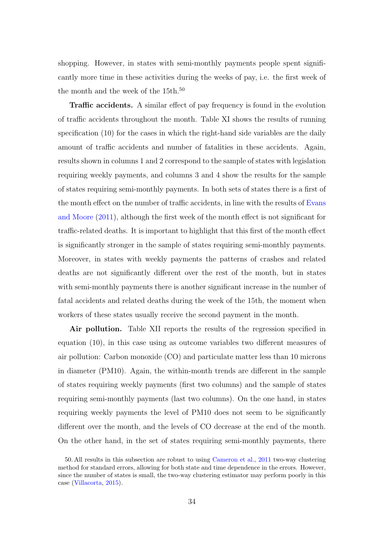shopping. However, in states with semi-monthly payments people spent significantly more time in these activities during the weeks of pay, i.e. the first week of the month and the week of the  $15th.<sup>50</sup>$  $15th.<sup>50</sup>$  $15th.<sup>50</sup>$ 

Traffic accidents. A similar effect of pay frequency is found in the evolution of traffic accidents throughout the month. Table [XI](#page-52-0) shows the results of running specification [\(10\)](#page-32-0) for the cases in which the right-hand side variables are the daily amount of traffic accidents and number of fatalities in these accidents. Again, results shown in columns 1 and 2 correspond to the sample of states with legislation requiring weekly payments, and columns 3 and 4 show the results for the sample of states requiring semi-monthly payments. In both sets of states there is a first of the month effect on the number of traffic accidents, in line with the results of [Evans](#page-40-0) [and Moore](#page-40-0) [\(2011\)](#page-40-0), although the first week of the month effect is not significant for traffic-related deaths. It is important to highlight that this first of the month effect is significantly stronger in the sample of states requiring semi-monthly payments. Moreover, in states with weekly payments the patterns of crashes and related deaths are not significantly different over the rest of the month, but in states with semi-monthly payments there is another significant increase in the number of fatal accidents and related deaths during the week of the 15th, the moment when workers of these states usually receive the second payment in the month.

Air pollution. Table [XII](#page-53-0) reports the results of the regression specified in equation [\(10\),](#page-32-0) in this case using as outcome variables two different measures of air pollution: Carbon monoxide (CO) and particulate matter less than 10 microns in diameter (PM10). Again, the within-month trends are different in the sample of states requiring weekly payments (first two columns) and the sample of states requiring semi-monthly payments (last two columns). On the one hand, in states requiring weekly payments the level of PM10 does not seem to be significantly different over the month, and the levels of CO decrease at the end of the month. On the other hand, in the set of states requiring semi-monthly payments, there

<sup>50.</sup> All results in this subsection are robust to using [Cameron et al.,](#page-40-13) [2011](#page-40-13) two-way clustering method for standard errors, allowing for both state and time dependence in the errors. However, since the number of states is small, the two-way clustering estimator may perform poorly in this case [\(Villacorta,](#page-42-1) [2015\)](#page-42-1).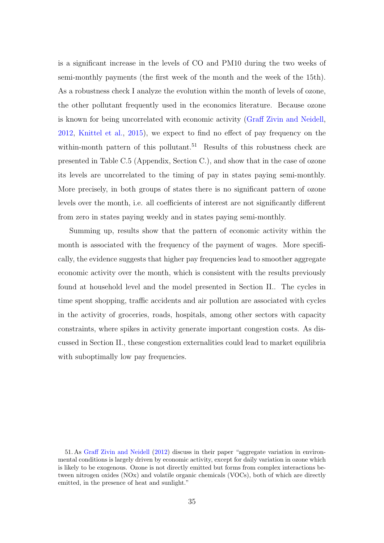is a significant increase in the levels of CO and PM10 during the two weeks of semi-monthly payments (the first week of the month and the week of the 15th). As a robustness check I analyze the evolution within the month of levels of ozone, the other pollutant frequently used in the economics literature. Because ozone is known for being uncorrelated with economic activity [\(Graff Zivin and Neidell,](#page-40-14) [2012,](#page-40-14) [Knittel et al.,](#page-40-12) [2015\)](#page-40-12), we expect to find no effect of pay frequency on the within-month pattern of this pollutant.<sup>[51](#page-0-0)</sup> Results of this robustness check are presented in Table [C.5](#page-65-0) (Appendix, Section [C.\)](#page-60-0), and show that in the case of ozone its levels are uncorrelated to the timing of pay in states paying semi-monthly. More precisely, in both groups of states there is no significant pattern of ozone levels over the month, i.e. all coefficients of interest are not significantly different from zero in states paying weekly and in states paying semi-monthly.

Summing up, results show that the pattern of economic activity within the month is associated with the frequency of the payment of wages. More specifically, the evidence suggests that higher pay frequencies lead to smoother aggregate economic activity over the month, which is consistent with the results previously found at household level and the model presented in Section [II..](#page-7-0) The cycles in time spent shopping, traffic accidents and air pollution are associated with cycles in the activity of groceries, roads, hospitals, among other sectors with capacity constraints, where spikes in activity generate important congestion costs. As discussed in Section [II.,](#page-7-0) these congestion externalities could lead to market equilibria with suboptimally low pay frequencies.

<sup>51.</sup> As [Graff Zivin and Neidell](#page-40-14) [\(2012\)](#page-40-14) discuss in their paper "aggregate variation in environmental conditions is largely driven by economic activity, except for daily variation in ozone which is likely to be exogenous. Ozone is not directly emitted but forms from complex interactions between nitrogen oxides (NOx) and volatile organic chemicals (VOCs), both of which are directly emitted, in the presence of heat and sunlight."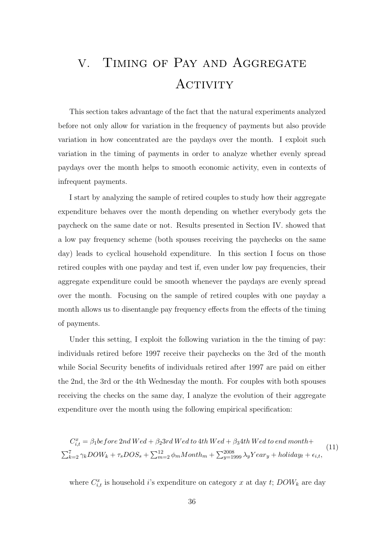# <span id="page-35-0"></span>V. Timing of Pay and Aggregate ACTIVITY

This section takes advantage of the fact that the natural experiments analyzed before not only allow for variation in the frequency of payments but also provide variation in how concentrated are the paydays over the month. I exploit such variation in the timing of payments in order to analyze whether evenly spread paydays over the month helps to smooth economic activity, even in contexts of infrequent payments.

I start by analyzing the sample of retired couples to study how their aggregate expenditure behaves over the month depending on whether everybody gets the paycheck on the same date or not. Results presented in Section [IV.](#page-25-0) showed that a low pay frequency scheme (both spouses receiving the paychecks on the same day) leads to cyclical household expenditure. In this section I focus on those retired couples with one payday and test if, even under low pay frequencies, their aggregate expenditure could be smooth whenever the paydays are evenly spread over the month. Focusing on the sample of retired couples with one payday a month allows us to disentangle pay frequency effects from the effects of the timing of payments.

Under this setting, I exploit the following variation in the the timing of pay: individuals retired before 1997 receive their paychecks on the 3rd of the month while Social Security benefits of individuals retired after 1997 are paid on either the 2nd, the 3rd or the 4th Wednesday the month. For couples with both spouses receiving the checks on the same day, I analyze the evolution of their aggregate expenditure over the month using the following empirical specification:

<span id="page-35-1"></span>
$$
C_{i,t}^{x} = \beta_1 before 2nd \t{Wed} + \beta_2 3rd \t{Wed to 4th} \t{Wed} + \beta_3 4th \t{Wed to end} \t{month} +
$$
  

$$
\sum_{k=2}^{7} \gamma_k DOW_k + \tau_s DOS_s + \sum_{m=2}^{12} \phi_m Month_m + \sum_{y=1999}^{2008} \lambda_y Year_y + holiday_t + \epsilon_{i,t},
$$
 (11)

where  $C_{i,t}^x$  is household i's expenditure on category x at day t;  $DOW_k$  are day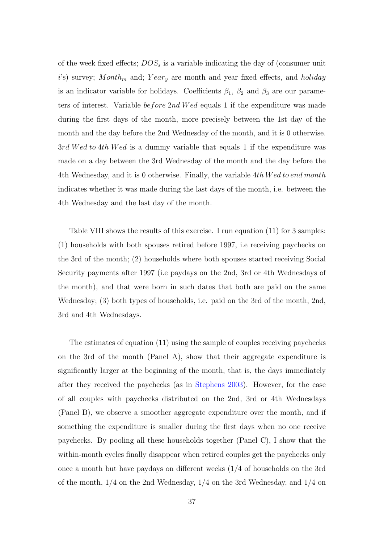of the week fixed effects;  $DOS<sub>s</sub>$  is a variable indicating the day of (consumer unit i's) survey; Month<sub>m</sub> and; Year<sub>y</sub> are month and year fixed effects, and holiday is an indicator variable for holidays. Coefficients  $\beta_1$ ,  $\beta_2$  and  $\beta_3$  are our parameters of interest. Variable *before* 2nd Wed equals 1 if the expenditure was made during the first days of the month, more precisely between the 1st day of the month and the day before the 2nd Wednesday of the month, and it is 0 otherwise. 3rd Wed to 4th Wed is a dummy variable that equals 1 if the expenditure was made on a day between the 3rd Wednesday of the month and the day before the 4th Wednesday, and it is 0 otherwise. Finally, the variable 4th Wed to end month indicates whether it was made during the last days of the month, i.e. between the 4th Wednesday and the last day of the month.

Table [VIII](#page-49-0) shows the results of this exercise. I run equation [\(11\)](#page-35-1) for 3 samples: (1) households with both spouses retired before 1997, i.e receiving paychecks on the 3rd of the month; (2) households where both spouses started receiving Social Security payments after 1997 (i.e paydays on the 2nd, 3rd or 4th Wednesdays of the month), and that were born in such dates that both are paid on the same Wednesday; (3) both types of households, i.e. paid on the 3rd of the month, 2nd, 3rd and 4th Wednesdays.

The estimates of equation [\(11\)](#page-35-1) using the sample of couples receiving paychecks on the 3rd of the month (Panel A), show that their aggregate expenditure is significantly larger at the beginning of the month, that is, the days immediately after they received the paychecks (as in [Stephens](#page-41-0) [2003\)](#page-41-0). However, for the case of all couples with paychecks distributed on the 2nd, 3rd or 4th Wednesdays (Panel B), we observe a smoother aggregate expenditure over the month, and if something the expenditure is smaller during the first days when no one receive paychecks. By pooling all these households together (Panel C), I show that the within-month cycles finally disappear when retired couples get the paychecks only once a month but have paydays on different weeks (1/4 of households on the 3rd of the month,  $1/4$  on the 2nd Wednesday,  $1/4$  on the 3rd Wednesday, and  $1/4$  on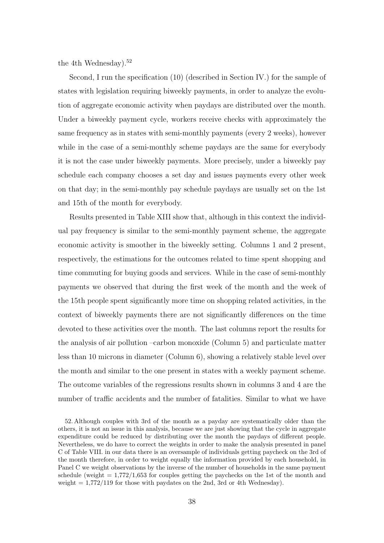the 4th Wednesday).<sup>[52](#page-0-0)</sup>

Second, I run the specification [\(10\)](#page-32-0) (described in Section [IV.\)](#page-25-0) for the sample of states with legislation requiring biweekly payments, in order to analyze the evolution of aggregate economic activity when paydays are distributed over the month. Under a biweekly payment cycle, workers receive checks with approximately the same frequency as in states with semi-monthly payments (every 2 weeks), however while in the case of a semi-monthly scheme paydays are the same for everybody it is not the case under biweekly payments. More precisely, under a biweekly pay schedule each company chooses a set day and issues payments every other week on that day; in the semi-monthly pay schedule paydays are usually set on the 1st and 15th of the month for everybody.

Results presented in Table [XIII](#page-54-0) show that, although in this context the individual pay frequency is similar to the semi-monthly payment scheme, the aggregate economic activity is smoother in the biweekly setting. Columns 1 and 2 present, respectively, the estimations for the outcomes related to time spent shopping and time commuting for buying goods and services. While in the case of semi-monthly payments we observed that during the first week of the month and the week of the 15th people spent significantly more time on shopping related activities, in the context of biweekly payments there are not significantly differences on the time devoted to these activities over the month. The last columns report the results for the analysis of air pollution –carbon monoxide (Column 5) and particulate matter less than 10 microns in diameter (Column 6), showing a relatively stable level over the month and similar to the one present in states with a weekly payment scheme. The outcome variables of the regressions results shown in columns 3 and 4 are the number of traffic accidents and the number of fatalities. Similar to what we have

<sup>52.</sup> Although couples with 3rd of the month as a payday are systematically older than the others, it is not an issue in this analysis, because we are just showing that the cycle in aggregate expenditure could be reduced by distributing over the month the paydays of different people. Nevertheless, we do have to correct the weights in order to make the analysis presented in panel C of Table [VIII.](#page-49-0) in our data there is an oversample of individuals getting paycheck on the 3rd of the month therefore, in order to weight equally the information provided by each household, in Panel C we weight observations by the inverse of the number of households in the same payment schedule (weight  $= 1.772/1.653$  for couples getting the paychecks on the 1st of the month and weight  $= 1.772/119$  for those with paydates on the 2nd, 3rd or 4th Wednesday).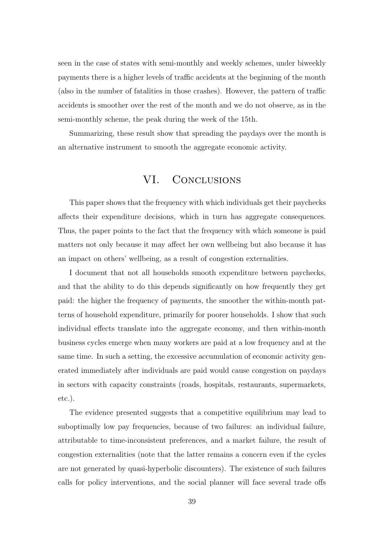seen in the case of states with semi-monthly and weekly schemes, under biweekly payments there is a higher levels of traffic accidents at the beginning of the month (also in the number of fatalities in those crashes). However, the pattern of traffic accidents is smoother over the rest of the month and we do not observe, as in the semi-monthly scheme, the peak during the week of the 15th.

<span id="page-38-0"></span>Summarizing, these result show that spreading the paydays over the month is an alternative instrument to smooth the aggregate economic activity.

## VI. CONCLUSIONS

This paper shows that the frequency with which individuals get their paychecks affects their expenditure decisions, which in turn has aggregate consequences. Thus, the paper points to the fact that the frequency with which someone is paid matters not only because it may affect her own wellbeing but also because it has an impact on others' wellbeing, as a result of congestion externalities.

I document that not all households smooth expenditure between paychecks, and that the ability to do this depends significantly on how frequently they get paid: the higher the frequency of payments, the smoother the within-month patterns of household expenditure, primarily for poorer households. I show that such individual effects translate into the aggregate economy, and then within-month business cycles emerge when many workers are paid at a low frequency and at the same time. In such a setting, the excessive accumulation of economic activity generated immediately after individuals are paid would cause congestion on paydays in sectors with capacity constraints (roads, hospitals, restaurants, supermarkets, etc.).

The evidence presented suggests that a competitive equilibrium may lead to suboptimally low pay frequencies, because of two failures: an individual failure, attributable to time-inconsistent preferences, and a market failure, the result of congestion externalities (note that the latter remains a concern even if the cycles are not generated by quasi-hyperbolic discounters). The existence of such failures calls for policy interventions, and the social planner will face several trade offs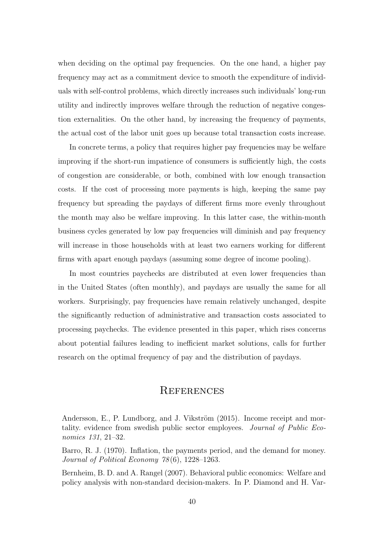when deciding on the optimal pay frequencies. On the one hand, a higher pay frequency may act as a commitment device to smooth the expenditure of individuals with self-control problems, which directly increases such individuals' long-run utility and indirectly improves welfare through the reduction of negative congestion externalities. On the other hand, by increasing the frequency of payments, the actual cost of the labor unit goes up because total transaction costs increase.

In concrete terms, a policy that requires higher pay frequencies may be welfare improving if the short-run impatience of consumers is sufficiently high, the costs of congestion are considerable, or both, combined with low enough transaction costs. If the cost of processing more payments is high, keeping the same pay frequency but spreading the paydays of different firms more evenly throughout the month may also be welfare improving. In this latter case, the within-month business cycles generated by low pay frequencies will diminish and pay frequency will increase in those households with at least two earners working for different firms with apart enough paydays (assuming some degree of income pooling).

In most countries paychecks are distributed at even lower frequencies than in the United States (often monthly), and paydays are usually the same for all workers. Surprisingly, pay frequencies have remain relatively unchanged, despite the significantly reduction of administrative and transaction costs associated to processing paychecks. The evidence presented in this paper, which rises concerns about potential failures leading to inefficient market solutions, calls for further research on the optimal frequency of pay and the distribution of paydays.

## **REFERENCES**

<span id="page-39-1"></span>Barro, R. J. (1970). Inflation, the payments period, and the demand for money. Journal of Political Economy 78 (6), 1228–1263.

<span id="page-39-2"></span>Bernheim, B. D. and A. Rangel (2007). Behavioral public economics: Welfare and policy analysis with non-standard decision-makers. In P. Diamond and H. Var-

<span id="page-39-0"></span>Andersson, E., P. Lundborg, and J. Vikström (2015). Income receipt and mortality. evidence from swedish public sector employees. Journal of Public Economics 131, 21–32.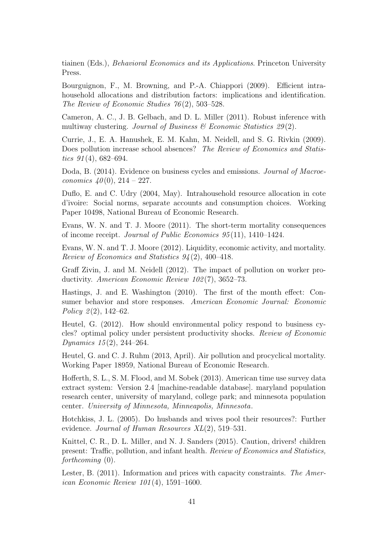tiainen (Eds.), Behavioral Economics and its Applications. Princeton University Press.

<span id="page-40-4"></span>Bourguignon, F., M. Browning, and P.-A. Chiappori (2009). Efficient intrahousehold allocations and distribution factors: implications and identification. The Review of Economic Studies  $76(2)$ , 503-528.

<span id="page-40-13"></span>Cameron, A. C., J. B. Gelbach, and D. L. Miller (2011). Robust inference with multiway clustering. Journal of Business  $\mathcal B$  Economic Statistics 29(2).

<span id="page-40-11"></span>Currie, J., E. A. Hanushek, E. M. Kahn, M. Neidell, and S. G. Rivkin (2009). Does pollution increase school absences? The Review of Economics and Statistics  $91(4)$ , 682–694.

<span id="page-40-7"></span>Doda, B. (2014). Evidence on business cycles and emissions. *Journal of Macroe*conomics  $40(0)$ ,  $214 - 227$ .

<span id="page-40-6"></span>Duflo, E. and C. Udry (2004, May). Intrahousehold resource allocation in cote d'ivoire: Social norms, separate accounts and consumption choices. Working Paper 10498, National Bureau of Economic Research.

<span id="page-40-0"></span>Evans, W. N. and T. J. Moore (2011). The short-term mortality consequences of income receipt. Journal of Public Economics 95 (11), 1410–1424.

<span id="page-40-1"></span>Evans, W. N. and T. J. Moore (2012). Liquidity, economic activity, and mortality. Review of Economics and Statistics  $94(2)$ , 400-418.

<span id="page-40-14"></span>Graff Zivin, J. and M. Neidell (2012). The impact of pollution on worker productivity. American Economic Review 102(7), 3652-73.

<span id="page-40-2"></span>Hastings, J. and E. Washington (2010). The first of the month effect: Consumer behavior and store responses. American Economic Journal: Economic Policy  $2(2)$ , 142–62.

<span id="page-40-8"></span>Heutel, G. (2012). How should environmental policy respond to business cycles? optimal policy under persistent productivity shocks. Review of Economic Dynamics  $15(2)$ , 244–264.

<span id="page-40-9"></span>Heutel, G. and C. J. Ruhm (2013, April). Air pollution and procyclical mortality. Working Paper 18959, National Bureau of Economic Research.

<span id="page-40-10"></span>Hofferth, S. L., S. M. Flood, and M. Sobek (2013). American time use survey data extract system: Version 2.4 [machine-readable database]. maryland population research center, university of maryland, college park; and minnesota population center. University of Minnesota, Minneapolis, Minnesota.

<span id="page-40-5"></span>Hotchkiss, J. L. (2005). Do husbands and wives pool their resources?: Further evidence. Journal of Human Resources XL(2), 519–531.

<span id="page-40-12"></span>Knittel, C. R., D. L. Miller, and N. J. Sanders (2015). Caution, drivers! children present: Traffic, pollution, and infant health. Review of Economics and Statistics, forthcoming (0).

<span id="page-40-3"></span>Lester, B. (2011). Information and prices with capacity constraints. The American Economic Review 101 (4), 1591–1600.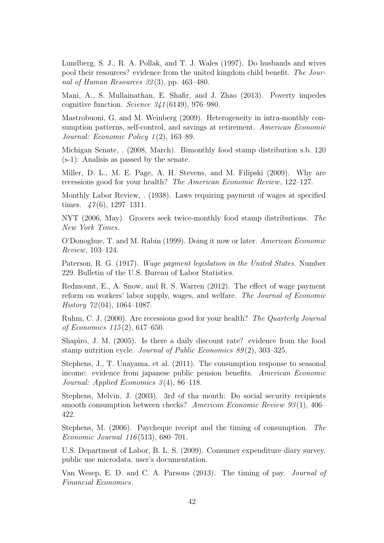<span id="page-41-11"></span>Lundberg, S. J., R. A. Pollak, and T. J. Wales (1997). Do husbands and wives pool their resources? evidence from the united kingdom child benefit. The Journal of Human Resources  $32(3)$ , pp. 463–480.

<span id="page-41-9"></span>Mani, A., S. Mullainathan, E. Shafir, and J. Zhao (2013). Poverty impedes cognitive function. Science 341 (6149), 976–980.

<span id="page-41-3"></span>Mastrobuoni, G. and M. Weinberg (2009). Heterogeneity in intra-monthly consumption patterns, self-control, and savings at retirement. American Economic Journal: Economic Policy 1 (2), 163–89.

<span id="page-41-8"></span>Michigan Senate, . (2008, March). Bimonthly food stamp distribution s.b. 120 (s-1): Analisis as passed by the senate.

<span id="page-41-16"></span>Miller, D. L., M. E. Page, A. H. Stevens, and M. Filipski (2009). Why are recessions good for your health? The American Economic Review, 122–127.

<span id="page-41-12"></span>Monthly Labor Review, . (1938). Laws requiring payment of wages at specified times.  $\frac{47(6)}{1297-1311}$ .

<span id="page-41-7"></span>NYT (2006, May). Grocers seek twice-monthly food stamp distributions. The New York Times.

<span id="page-41-10"></span>O'Donoghue, T. and M. Rabin (1999). Doing it now or later. American Economic Review, 103–124.

<span id="page-41-6"></span>Paterson, R. G. (1917). Wage payment legislation in the United States. Number 229. Bulletin of the U.S. Bureau of Labor Statistics.

<span id="page-41-13"></span>Redmount, E., A. Snow, and R. S. Warren (2012). The effect of wage payment reform on workers' labor supply, wages, and welfare. The Journal of Economic History  $72(04)$ , 1064–1087.

<span id="page-41-15"></span>Ruhm, C. J. (2000). Are recessions good for your health? The Quarterly Journal of Economics 115 (2), 617–650.

<span id="page-41-4"></span>Shapiro, J. M. (2005). Is there a daily discount rate? evidence from the food stamp nutrition cycle. Journal of Public Economics 89(2), 303-325.

<span id="page-41-2"></span>Stephens, J., T. Unayama, et al. (2011). The consumption response to seasonal income: evidence from japanese public pension benefits. American Economic Journal: Applied Economics 3(4), 86–118.

<span id="page-41-0"></span>Stephens, Melvin, J. (2003). 3rd of tha month: Do social security recipients smooth consumption between checks? American Economic Review 93(1), 406– 422.

<span id="page-41-1"></span>Stephens, M. (2006). Paycheque receipt and the timing of consumption. The Economic Journal 116 (513), 680–701.

<span id="page-41-14"></span>U.S. Department of Labor, B. L. S. (2009). Consumer expenditure diary survey. public use microdata. user's documentation.

<span id="page-41-5"></span>Van Wesep, E. D. and C. A. Parsons (2013). The timing of pay. Journal of Financial Economics.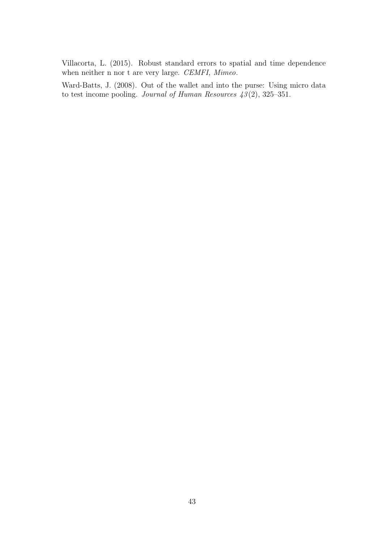<span id="page-42-1"></span>Villacorta, L. (2015). Robust standard errors to spatial and time dependence when neither n nor t are very large. CEMFI, Mimeo.

<span id="page-42-0"></span>Ward-Batts, J. (2008). Out of the wallet and into the purse: Using micro data to test income pooling. Journal of Human Resources  $43(2)$ , 325–351.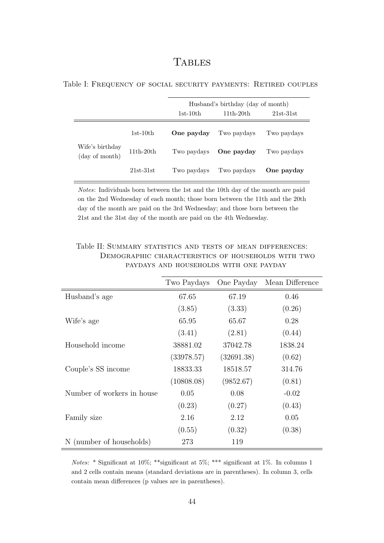## **TABLES**

<span id="page-43-0"></span>

|  | Table I: FREQUENCY OF SOCIAL SECURITY PAYMENTS: RETIRED COUPLES |  |  |  |
|--|-----------------------------------------------------------------|--|--|--|
|  |                                                                 |  |  |  |

|                                   |             | $1st-10th$  | Husband's birthday (day of month)<br>$11th-20th$ | $21st-31st$ |
|-----------------------------------|-------------|-------------|--------------------------------------------------|-------------|
|                                   | $1st-10th$  | One payday  | Two paydays                                      | Two paydays |
| Wife's birthday<br>(day of month) | $11th-20th$ | Two paydays | One payday                                       | Two paydays |
|                                   | $21st-31st$ | Two paydays | Two paydays                                      | One payday  |

Notes: Individuals born between the 1st and the 10th day of the month are paid on the 2nd Wednesday of each month; those born between the 11th and the 20th day of the month are paid on the 3rd Wednesday; and those born between the 21st and the 31st day of the month are paid on the 4th Wednesday.

|                            | Two Paydays | One Payday | Mean Difference |
|----------------------------|-------------|------------|-----------------|
| Husband's age              | 67.65       | 67.19      | 0.46            |
|                            | (3.85)      | (3.33)     | (0.26)          |
| Wife's age                 | 65.95       | 65.67      | 0.28            |
|                            | (3.41)      | (2.81)     | (0.44)          |
| Household income           | 38881.02    | 37042.78   | 1838.24         |
|                            | (33978.57)  | (32691.38) | (0.62)          |
| Couple's SS income         | 18833.33    | 18518.57   | 314.76          |
|                            | (10808.08)  | (9852.67)  | (0.81)          |
| Number of workers in house | 0.05        | 0.08       | $-0.02$         |
|                            | (0.23)      | (0.27)     | (0.43)          |
| Family size                | 2.16        | 2.12       | 0.05            |
|                            | (0.55)      | (0.32)     | (0.38)          |
| N (number of households)   | 273         | 119        |                 |

<span id="page-43-1"></span>Table II: SUMMARY STATISTICS AND TESTS OF MEAN DIFFERENCES: Demographic characteristics of households with two paydays and households with one payday

Notes: \* Significant at 10%; \*\*significant at 5%; \*\*\* significant at 1%. In columns 1 and 2 cells contain means (standard deviations are in parentheses). In column 3, cells contain mean differences (p values are in parentheses).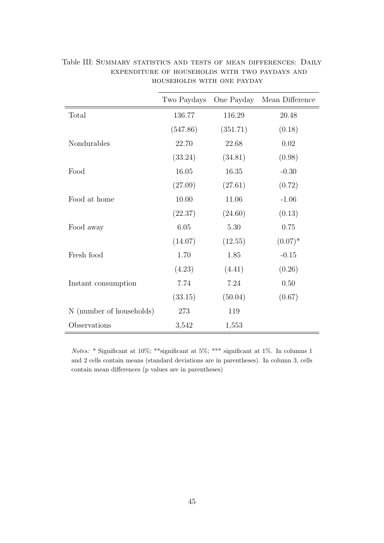|                          | Two Paydays | One Payday | Mean Difference |
|--------------------------|-------------|------------|-----------------|
| Total                    | 136.77      | 116.29     | 20.48           |
|                          | (547.86)    | (351.71)   | (0.18)          |
| Nondurables              | 22.70       | 22.68      | 0.02            |
|                          | (33.24)     | (34.81)    | (0.98)          |
| Food                     | 16.05       | 16.35      | $-0.30$         |
|                          | (27.09)     | (27.61)    | (0.72)          |
| Food at home             | 10.00       | 11.06      | $-1.06$         |
|                          | (22.37)     | (24.60)    | (0.13)          |
| Food away                | 6.05        | 5.30       | 0.75            |
|                          | (14.07)     | (12.55)    | $(0.07)^*$      |
| Fresh food               | 1.70        | 1.85       | $-0.15$         |
|                          | (4.23)      | (4.41)     | (0.26)          |
| Instant consumption      | 7.74        | 7.24       | 0.50            |
|                          | (33.15)     | (50.04)    | (0.67)          |
| N (number of households) | 273         | 119        |                 |
| Observations             | 3,542       | 1,553      |                 |

<span id="page-44-0"></span>Table III: SUMMARY STATISTICS AND TESTS OF MEAN DIFFERENCES: DAILY expenditure of households with two paydays and households with one payday

Notes: \* Significant at 10%; \*\*\*<br/>significant at 5%; \*\*\* significant at 1%. In columns 1 and 2 cells contain means (standard deviations are in parentheses). In column 3, cells contain mean differences (p values are in parentheses)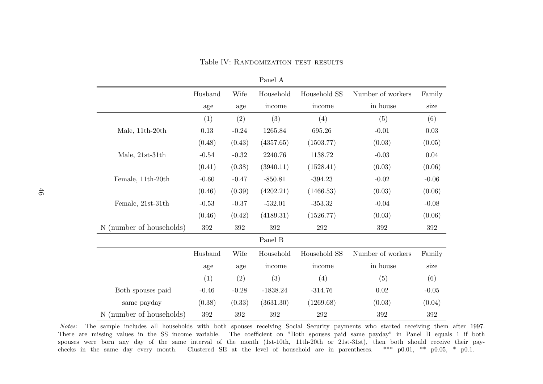|                          |         |         | Panel A    |              |                   |         |
|--------------------------|---------|---------|------------|--------------|-------------------|---------|
|                          | Husband | Wife    | Household  | Household SS | Number of workers | Family  |
|                          | age     | age     | income     | income       | in house          | size    |
|                          | (1)     | (2)     | (3)        | (4)          | (5)               | (6)     |
| Male, 11th-20th          | 0.13    | $-0.24$ | 1265.84    | 695.26       | $-0.01$           | 0.03    |
|                          | (0.48)  | (0.43)  | (4357.65)  | (1503.77)    | (0.03)            | (0.05)  |
| Male, 21st-31th          | $-0.54$ | $-0.32$ | 2240.76    | 1138.72      | $-0.03$           | 0.04    |
|                          | (0.41)  | (0.38)  | (3940.11)  | (1528.41)    | (0.03)            | (0.06)  |
| Female, 11th-20th        | $-0.60$ | $-0.47$ | $-850.81$  | $-394.23$    | $-0.02$           | $-0.06$ |
|                          | (0.46)  | (0.39)  | (4202.21)  | (1466.53)    | (0.03)            | (0.06)  |
| Female, 21st-31th        | $-0.53$ | $-0.37$ | $-532.01$  | $-353.32$    | $-0.04$           | $-0.08$ |
|                          | (0.46)  | (0.42)  | (4189.31)  | (1526.77)    | (0.03)            | (0.06)  |
| N (number of households) | 392     | 392     | 392        | 292          | 392               | 392     |
|                          |         |         | Panel B    |              |                   |         |
|                          | Husband | Wife    | Household  | Household SS | Number of workers | Family  |
|                          | age     | age     | income     | income       | in house          | size    |
|                          | (1)     | (2)     | (3)        | (4)          | (5)               | (6)     |
| Both spouses paid        | $-0.46$ | $-0.28$ | $-1838.24$ | $-314.76$    | 0.02              | $-0.05$ |
| same payday              | (0.38)  | (0.33)  | (3631.30)  | (1269.68)    | (0.03)            | (0.04)  |
| N (number of households) | 392     | 392     | 392        | 292          | 392               | $392\,$ |

Table IV: Randomization test results

<span id="page-45-0"></span>Notes: The sample includes all households with both spouses receiving Social Security payments who started receiving them after 1997. There are missing values in the SS income variable. The coefficient on "Both spouses paid same payday" in Panel B equals 1 if bothspouses were born any day of the same interval of the month (1st-10th, 11th-20th or 21st-31st), then both should receive their paychecks in the same day every month. Clustered SE at the level of household are in parentheses. \*\*\* p0.01, \*\* p0.05, \* p0.1.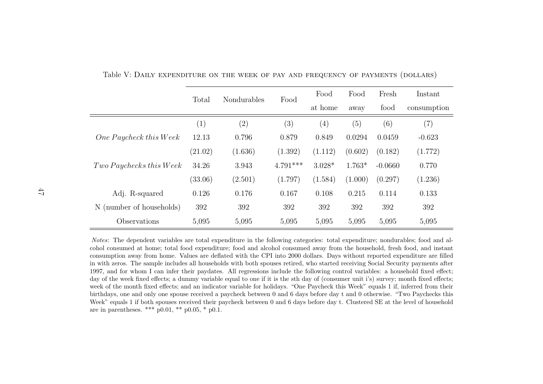|                                  | Total             | Nondurables | Food       | Food              | Food     | Fresh     | Instant     |
|----------------------------------|-------------------|-------------|------------|-------------------|----------|-----------|-------------|
|                                  |                   |             |            |                   | away     | food      | consumption |
|                                  | $\left( 1\right)$ | (2)         | (3)        | $\left( 4\right)$ | (5)      | (6)       | (7)         |
| $One \, Paycheck\, this \, Week$ | 12.13             | 0.796       | 0.879      | 0.849             | 0.0294   | 0.0459    | $-0.623$    |
|                                  | (21.02)           | (1.636)     | (1.392)    | (1.112)           | (0.602)  | (0.182)   | (1.772)     |
| $Two$ Paychecks this Week        | 34.26             | 3.943       | $4.791***$ | $3.028*$          | $1.763*$ | $-0.0660$ | 0.770       |
|                                  | (33.06)           | (2.501)     | (1.797)    | (1.584)           | (1.000)  | (0.297)   | (1.236)     |
| Adj. R-squared                   | 0.126             | 0.176       | 0.167      | 0.108             | 0.215    | 0.114     | 0.133       |
| (number of households)<br>N(     | 392               | 392         | 392        | 392               | 392      | 392       | 392         |
| Observations                     | 5,095             | 5,095       | 5,095      | 5,095             | 5,095    | 5,095     | 5,095       |

<span id="page-46-0"></span>Table V: Daily expenditure on the week of pay and frequency of payments (dollars)

Notes: The dependent variables are total expenditure in the following categories: total expenditure; nondurables; food and alcohol consumed at home; total food expenditure; food and alcohol consumed away from the household, fresh food, and instant consumption away from home. Values are deflated with the CPI into 2000 dollars. Days without reported expenditure are filled in with zeros. The sample includes all households with both spouses retired, who started receiving Social Security payments after 1997, and for whom I can infer their paydates. All regressions include the following control variables: <sup>a</sup> household fixed effect; day of the week fixed effects; <sup>a</sup> dummy variable equa<sup>l</sup> to one if it is the sth day of (consumer unit i's) survey; month fixed effects; week of the month fixed effects; and an indicator variable for holidays. "One Paycheck this Week" equals 1 if, inferred from their birthdays, one and only one spouse received <sup>a</sup> paycheck between 0 and 6 days before day <sup>t</sup> and 0 otherwise. "Two Paychecks thisWeek" equals 1 if both spouses received their paycheck between 0 and 6 days before day t. Clustered SE at the level of household are in parentheses. \*\*\* p0.01, \*\* p0.05, \* p0.1.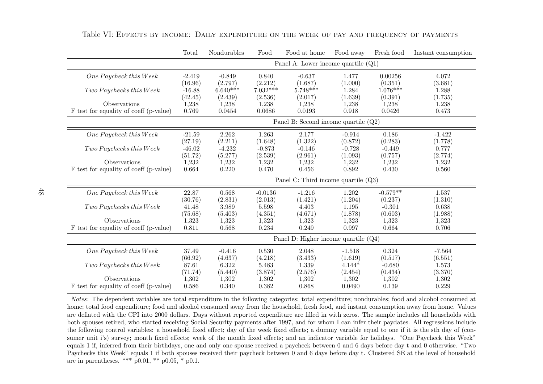|                                        | Total    | Nondurables                           | Food       | Food at home                           | Food away | Fresh food | Instant consumption |  |  |
|----------------------------------------|----------|---------------------------------------|------------|----------------------------------------|-----------|------------|---------------------|--|--|
|                                        |          | Panel A: Lower income quartile $(Q1)$ |            |                                        |           |            |                     |  |  |
| One Paycheck this Week                 | $-2.419$ | $-0.849$                              | 0.840      | $-0.637$                               | 1.477     | 0.00256    | 4.072               |  |  |
|                                        | (16.96)  | (2.797)                               | (2.212)    | (1.687)                                | (1.000)   | (0.351)    | (3.681)             |  |  |
| Two Paychecks this Week                | $-16.88$ | $6.640****$                           | $7.032***$ | $5.748***$                             | 1.284     | $1.076***$ | 1.288               |  |  |
|                                        | (42.45)  | (2.439)                               | (2.536)    | (2.017)                                | (1.639)   | (0.391)    | (1.735)             |  |  |
| Observations                           | 1,238    | 1,238                                 | 1,238      | 1,238                                  | 1,238     | 1,238      | 1,238               |  |  |
| F test for equality of coeff (p-value) | 0.769    | 0.0454                                | 0.0686     | 0.0193                                 | 0.918     | 0.0426     | 0.473               |  |  |
|                                        |          |                                       |            | Panel B: Second income quartile $(Q2)$ |           |            |                     |  |  |
| One Paycheck this Week                 | $-21.59$ | 2.262                                 | 1.263      | 2.177                                  | $-0.914$  | 0.186      | $-1.422$            |  |  |
|                                        | (27.19)  | (2.211)                               | (1.648)    | (1.322)                                | (0.872)   | (0.283)    | (1.778)             |  |  |
| Two Paychecks this Week                | $-46.02$ | $-4.232$                              | $-0.873$   | $-0.146$                               | $-0.728$  | $-0.449$   | 0.777               |  |  |
|                                        | (51.72)  | (5.277)                               | (2.539)    | (2.961)                                | (1.093)   | (0.757)    | (2.774)             |  |  |
| Observations                           | 1,232    | 1,232                                 | 1,232      | 1,232                                  | 1,232     | 1,232      | 1,232               |  |  |
| F test for equality of coeff (p-value) | 0.664    | 0.220                                 | 0.470      | 0.456                                  | 0.892     | 0.430      | 0.560               |  |  |
|                                        |          |                                       |            | Panel C: Third income quartile $(Q3)$  |           |            |                     |  |  |
| $One \, Paycheck \, this \, Week$      | 22.87    | 0.568                                 | $-0.0136$  | $-1.216$                               | 1.202     | $-0.579**$ | 1.537               |  |  |
|                                        | (30.76)  | (2.831)                               | (2.013)    | (1.421)                                | (1.204)   | (0.237)    | (1.310)             |  |  |
| Two Paychecks this Week                | 41.48    | 3.989                                 | 5.598      | 4.403                                  | 1.195     | $-0.301$   | 0.638               |  |  |
|                                        | (75.68)  | (5.403)                               | (4.351)    | (4.671)                                | (1.878)   | (0.603)    | (1.988)             |  |  |
| Observations                           | 1,323    | 1,323                                 | 1,323      | 1,323                                  | 1,323     | 1,323      | 1,323               |  |  |
| F test for equality of coeff (p-value) | 0.811    | 0.568                                 | 0.234      | 0.249                                  | 0.997     | 0.664      | 0.706               |  |  |
|                                        |          |                                       |            | Panel D: Higher income quartile $(Q4)$ |           |            |                     |  |  |
| One Paycheck this Week                 | 37.49    | $-0.416$                              | 0.530      | 2.048                                  | $-1.518$  | 0.324      | $-7.564$            |  |  |
|                                        | (66.92)  | (4.637)                               | (4.218)    | (3.433)                                | (1.619)   | (0.517)    | (6.551)             |  |  |
| Two Paychecks this Week                | 87.61    | 6.322                                 | 5.483      | 1.339                                  | $4.144*$  | $-0.680$   | 1.573               |  |  |
|                                        | (71.74)  | (5.440)                               | (3.874)    | (2.576)                                | (2.454)   | (0.434)    | (3.370)             |  |  |
| Observations                           | 1,302    | 1,302                                 | 1,302      | 1,302                                  | 1,302     | 1,302      | 1,302               |  |  |
| F test for equality of coeff (p-value) | 0.586    | 0.340                                 | 0.382      | 0.868                                  | 0.0490    | 0.139      | 0.229               |  |  |

Table VI: Effects by income: Daily expenditure on the week of pay and frequency of payments

<span id="page-47-0"></span>Notes: The dependent variables are total expenditure in the following categories: total expenditure; nondurables; food and alcohol consumed at home; total food expenditure; food and alcohol consumed away from the household, fresh food, and instant consumption away from home. Values are deflated with the CPI into 2000 dollars. Days without reported expenditure are filled in with zeros. The sample includes all households with both spouses retired, who started receiving Social Security payments after 1997, and for whom I can infer their paydates. All regressions include the following control variables: <sup>a</sup> household fixed effect; day of the week fixed effects; <sup>a</sup> dummy variable equa<sup>l</sup> to one if it is the sth day of (consumer unit i's) survey; month fixed effects; week of the month fixed effects; and an indicator variable for holidays. "One Paycheck this Week" equals 1 if, inferred from their birthdays, one and only one spouse received <sup>a</sup> paycheck between 0 and 6 days before day <sup>t</sup> and 0 otherwise. "Two Paychecks this Week" equals 1 if both spouses received their paycheck between 0 and 6 days before day t. Clustered SE at the level of householdare in parentheses. \*\*\* p0.01, \*\* p0.05, \* p0.1.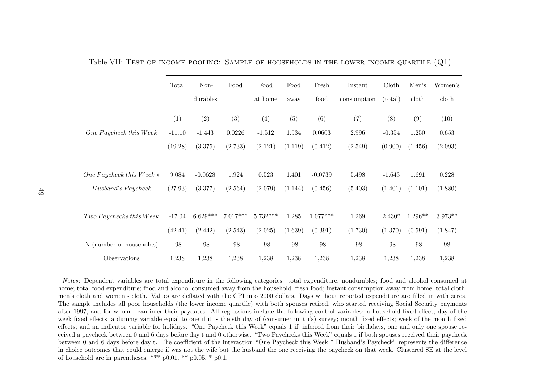|                            | Total    | $Non-$     | Food       | Food       | Food    | Fresh      | Instant     | Cloth    | Men's     | Women's   |
|----------------------------|----------|------------|------------|------------|---------|------------|-------------|----------|-----------|-----------|
|                            |          | durables   |            | at home    | away    | food       | consumption | (total)  | cloth     | doth      |
|                            | (1)      | (2)        | (3)        | (4)        | (5)     | (6)        | (7)         | (8)      | (9)       | (10)      |
| One Paycheck this Week     | $-11.10$ | $-1.443$   | 0.0226     | $-1.512$   | 1.534   | 0.0603     | 2.996       | $-0.354$ | 1.250     | 0.653     |
|                            | (19.28)  | (3.375)    | (2.733)    | (2.121)    | (1.119) | (0.412)    | (2.549)     | (0.900)  | (1.456)   | (2.093)   |
|                            |          |            |            |            |         |            |             |          |           |           |
| One Paycheck this Week $*$ | 9.084    | $-0.0628$  | 1.924      | 0.523      | 1.401   | $-0.0739$  | 5.498       | $-1.643$ | 1.691     | 0.228     |
| Husband's Paycheck         | (27.93)  | (3.377)    | (2.564)    | (2.079)    | (1.144) | (0.456)    | (5.403)     | (1.401)  | (1.101)   | (1.880)   |
|                            |          |            |            |            |         |            |             |          |           |           |
| Two Paychecks this Week    | $-17.04$ | $6.629***$ | $7.017***$ | $5.732***$ | 1.285   | $1.077***$ | 1.269       | $2.430*$ | $1.296**$ | $3.973**$ |
|                            | (42.41)  | (2.442)    | (2.543)    | (2.025)    | (1.639) | (0.391)    | (1.730)     | (1.370)  | (0.591)   | (1.847)   |
| N (number of households)   | 98       | 98         | 98         | 98         | 98      | 98         | 98          | 98       | 98        | 98        |
| Observations               | 1,238    | 1,238      | 1,238      | 1,238      | 1,238   | 1,238      | 1,238       | 1,238    | 1,238     | 1,238     |

Table VII: Test of income pooling: Sample of households in the lower income quartile  ${\rm (Q1)}$ 

<span id="page-48-0"></span>Notes: Dependent variables are total expenditure in the following categories: total expenditure; nondurables; food and alcohol consumed at home; total food expenditure; food and alcohol consumed away from the household; fresh food; instant consumption away from home; total cloth;men's cloth and women's cloth. Values are deflated with the CPI into 2000 dollars. Days without reported expenditure are filled in with zeros.The sample includes all poor households (the lower income quartile) with both spouses retired, who started receiving Social Security payments after 1997, and for whom I can infer their paydates. All regressions include the following control variables: <sup>a</sup> household fixed effect; day of the week fixed effects; <sup>a</sup> dummy variable equa<sup>l</sup> to one if it is the sth day of (consumer unit i's) survey; month fixed effects; week of the month fixed effects; and an indicator variable for holidays. "One Paycheck this Week" equals 1 if, inferred from their birthdays, one and only one spouse received <sup>a</sup> paycheck between 0 and 6 days before day <sup>t</sup> and 0 otherwise. "Two Paychecks this Week" equals 1 if both spouses received their paycheck between 0 and 6 days before day t. The coefficient of the interaction "One Paycheck this Week \* Husband's Paycheck" represents the difference in choice outcomes that could emerge if was not the wife but the husband the one receiving the paycheck on that week. Clustered SE at the levelof household are in parentheses. \*\*\*  $p0.01$ , \*\*  $p0.05$ , \*  $p0.1$ .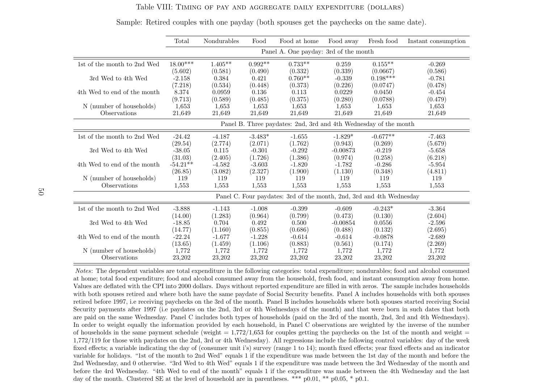#### Table VIII: Timing of pay and aggregate daily expenditure (dollars)

|                                                                    | Total      | Nondurables | Food      | Food at home                                                         | Food away  | Fresh food | Instant consumption |
|--------------------------------------------------------------------|------------|-------------|-----------|----------------------------------------------------------------------|------------|------------|---------------------|
|                                                                    |            |             |           | Panel A. One payday: 3rd of the month                                |            |            |                     |
| $1st$ of the month to $2nd$ $\operatorname*{Wed}% \left( X\right)$ | $18.00***$ | $1.405**$   | $0.992**$ | $0.733**$                                                            | 0.259      | $0.155***$ | $-0.269$            |
|                                                                    | (5.602)    | (0.581)     | (0.490)   | (0.332)                                                              | (0.339)    | (0.0667)   | (0.586)             |
| 3rd Wed to 4th Wed                                                 | $-2.158$   | 0.384       | 0.421     | $0.760**$                                                            | $-0.339$   | $0.198***$ | $-0.781$            |
|                                                                    | (7.218)    | (0.534)     | (0.448)   | (0.373)                                                              | (0.226)    | (0.0747)   | (0.478)             |
| 4th Wed to end of the month                                        | 8.374      | 0.0959      | 0.136     | 0.113                                                                | 0.0229     | 0.0450     | $-0.454$            |
|                                                                    | (9.713)    | (0.589)     | (0.485)   | (0.375)                                                              | (0.280)    | (0.0788)   | (0.479)             |
| N (number of households)                                           | 1,653      | 1,653       | 1,653     | 1,653                                                                | 1,653      | 1,653      | 1,653               |
| Observations                                                       | 21,649     | 21,649      | 21,649    | 21,649                                                               | 21,649     | 21,649     | 21,649              |
|                                                                    |            |             |           | Panel B. Three paydates: 2nd, 3rd and 4th Wednesday of the month     |            |            |                     |
| 1st of the month to 2nd Wed                                        | $-24.42$   | $-4.187$    | $-3.483*$ | $-1.655$                                                             | $-1.829*$  | $-0.677**$ | $-7.463$            |
|                                                                    | (29.54)    | (2.774)     | (2.071)   | (1.762)                                                              | (0.943)    | (0.269)    | (5.679)             |
| 3rd Wed to 4th Wed                                                 | $-38.05$   | 0.115       | $-0.301$  | $-0.292$                                                             | $-0.00873$ | $-0.219$   | $-5.658$            |
|                                                                    | (31.03)    | (2.405)     | (1.726)   | (1.386)                                                              | (0.974)    | (0.258)    | (6.218)             |
| 4th Wed to end of the month                                        | $-54.21**$ | $-4.582$    | $-3.603$  | $-1.820$                                                             | $-1.782$   | $-0.286$   | $-5.954$            |
|                                                                    | (26.85)    | (3.082)     | (2.327)   | (1.900)                                                              | (1.130)    | (0.348)    | (4.811)             |
| N (number of households)                                           | 119        | 119         | 119       | 119                                                                  | 119        | 119        | 119                 |
| Observations                                                       | 1,553      | 1,553       | 1,553     | 1,553                                                                | 1,553      | 1,553      | 1,553               |
|                                                                    |            |             |           | Panel C. Four paydates: 3rd of the month, 2nd, 3rd and 4th Wednesday |            |            |                     |
| 1st of the month to 2nd Wed                                        | $-3.888$   | $-1.143$    | $-1.008$  | $-0.399$                                                             | $-0.609$   | $-0.243*$  | $-3.364$            |
|                                                                    | (14.00)    | (1.283)     | (0.964)   | (0.799)                                                              | (0.473)    | (0.130)    | (2.604)             |
| 3rd Wed to 4th Wed                                                 | $-18.85$   | 0.704       | 0.492     | 0.500                                                                | $-0.00854$ | 0.0556     | $-2.596$            |
|                                                                    | (14.77)    | (1.160)     | (0.855)   | (0.686)                                                              | (0.488)    | (0.132)    | (2.695)             |
| 4th Wed to end of the month                                        | $-22.24$   | $-1.677$    | $-1.228$  | $-0.614$                                                             | $-0.614$   | $-0.0878$  | $-2.689$            |
|                                                                    | (13.65)    | (1.459)     | (1.106)   | (0.883)                                                              | (0.561)    | (0.174)    | (2.269)             |
| N (number of households)                                           | 1,772      | 1,772       | 1,772     | 1,772                                                                | 1,772      | 1,772      | 1,772               |
| Observations                                                       | 23,202     | 23,202      | 23,202    | 23,202                                                               | 23,202     | 23,202     | 23,202              |

Sample: Retired couples with one payday (both spouses get the paychecks on the same date).

<span id="page-49-0"></span>Notes: The dependent variables are total expenditure in the following categories: total expenditure; nondurables; food and alcohol consumed at home; total food expenditure; food and alcohol consumed away from the household, fresh food, and instant consumption away from home.Values are deflated with the CPI into 2000 dollars. Days without reported expenditure are filled in with zeros. The sample includes households with both spouses retired and where both have the same paydate of Social Security benefits. Panel A includes households with both spouses retired before 1997, i.e receiving paychecks on the 3rd of the month. Panel B includes households where both spouses started receiving SocialSecurity payments after <sup>1997</sup> (i.e paydates on the 2nd, 3rd or 4th Wednesdays of the month) and that were born in such dates that both are paid on the same Wednesday. Panel C includes both types of households (paid on the 3rd of the month, 2nd, 3rd and 4th Wednesdays).In order to weight equally the information provided by each household, in Panel C observations are weighted by the inverse of the numberof households in the same payment schedule (weight  $= 1,772/1,653$  for couples getting the paychecks on the 1st of the month and weight  $=$  1,772/119 for those with paydates on the 2nd, 3rd or 4th Wednesday). All regressions include the following control variables: day of the week fixed effects; <sup>a</sup> variable indicating the day of (consumer unit i's) survey (range <sup>1</sup> to 14); month fixed effects; year fixed effects and an indicatorvariable for holidays. "1st of the month to 2nd Wed" equals 1 if the expenditure was made between the 1st day of the month and before the 2nd Wednesday, and 0 otherwise. "3rd Wed to 4th Wed" equals 1 if the expenditure was made between the 3rd Wednesday of the month and before the 4rd Wednesday. "4th Wed to end of the month" equals 1 if the expenditure was made between the 4th Wednesday and the lastday of the month. Clustered SE at the level of household are in parentheses. \*\*\*  $p0.01$ , \*\*  $p0.05$ , \*  $p0.1$ .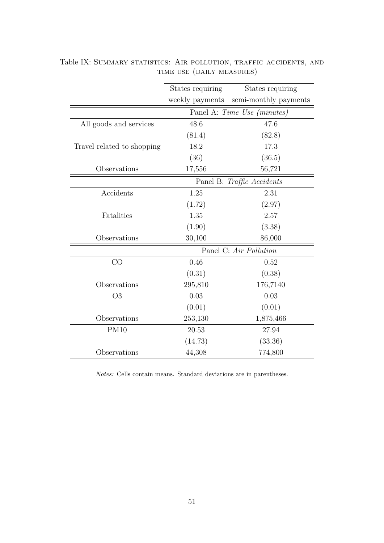|                            | States requiring | States requiring            |
|----------------------------|------------------|-----------------------------|
|                            | weekly payments  | semi-monthly payments       |
|                            |                  |                             |
|                            |                  | Panel A: Time Use (minutes) |
| All goods and services     | 48.6             | 47.6                        |
|                            | (81.4)           | (82.8)                      |
| Travel related to shopping | 18.2             | 17.3                        |
|                            | (36)             | (36.5)                      |
| Observations               | 17,556           | 56,721                      |
|                            |                  | Panel B: Traffic Accidents  |
| Accidents                  | 1.25             | 2.31                        |
|                            | (1.72)           | (2.97)                      |
| Fatalities                 | 1.35             | 2.57                        |
|                            | (1.90)           | (3.38)                      |
| Observations               | 30,100           | 86,000                      |
|                            |                  | Panel C: Air Pollution      |
| CO                         | 0.46             | 0.52                        |
|                            | (0.31)           | (0.38)                      |
| Observations               | 295,810          | 176,7140                    |
| O <sub>3</sub>             | 0.03             | 0.03                        |
|                            | (0.01)           | (0.01)                      |
| Observations               | 253,130          | 1,875,466                   |
| <b>PM10</b>                | 20.53            | 27.94                       |
|                            | (14.73)          | (33.36)                     |
| Observations               | 44,308           | 774,800                     |

<span id="page-50-0"></span>Table IX: SUMMARY STATISTICS: AIR POLLUTION, TRAFFIC ACCIDENTS, AND time use (daily measures)

Notes: Cells contain means. Standard deviations are in parentheses.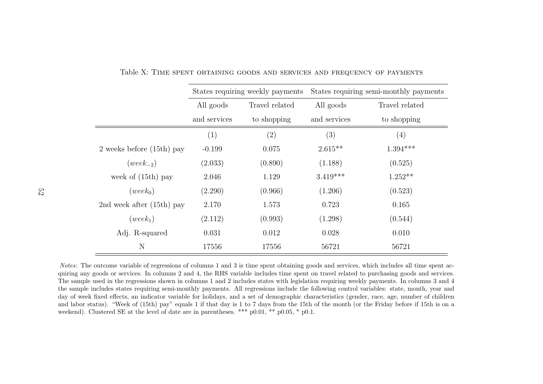|                               |              | States requiring weekly payments |              | States requiring semi-monthly payments |
|-------------------------------|--------------|----------------------------------|--------------|----------------------------------------|
|                               | All goods    | Travel related                   | All goods    | Travel related                         |
|                               | and services | to shopping                      | and services | to shopping                            |
|                               | (1)          | (2)                              | (3)          | (4)                                    |
| $2$ weeks before $(15th)$ pay | $-0.199$     | 0.075                            | $2.615**$    | $1.394***$                             |
| $(week_{-2})$                 | (2.033)      | (0.890)                          | (1.188)      | (0.525)                                |
| week of $(15th)$ pay          | 2.046        | 1.129                            | $3.419***$   | $1.252**$                              |
| $(week_0)$                    | (2.290)      | (0.966)                          | (1.206)      | (0.523)                                |
| 2nd week after $(15th)$ pay   | 2.170        | 1.573                            | 0.723        | 0.165                                  |
| $(week_1)$                    | (2.112)      | (0.993)                          | (1.298)      | (0.544)                                |
| Adj. R-squared                | 0.031        | 0.012                            | 0.028        | 0.010                                  |
| N                             | 17556        | 17556                            | 56721        | 56721                                  |

Table X: Time spent obtaining goods and services and frequency of payments

<span id="page-51-0"></span>Notes: The outcome variable of regressions of columns 1 and 3 is time spent obtaining goods and services, which includes all time spent acquiring any goods or services. In columns 2 and 4, the RHS variable includes time spent on travel related to purchasing goods and services. The sample used in the regressions shown in columns 1 and 2 includes states with legislation requiring weekly payments. In columns 3 and 4 the sample includes states requiring semi-monthly payments. All regressions include the following control variables: state, month, year and day of week fixed effects, an indicator variable for holidays, and <sup>a</sup> set of demographic characteristics (gender, race, age, number of children and labor status). "Week of (15th) pay" equals <sup>1</sup> if that day is <sup>1</sup> to <sup>7</sup> days from the 15th of the month (or the Friday before if 15th is on <sup>a</sup>weekend). Clustered SE at the level of date are in parentheses. \*\*\* p0.01, \*\* p0.05, \* p0.1.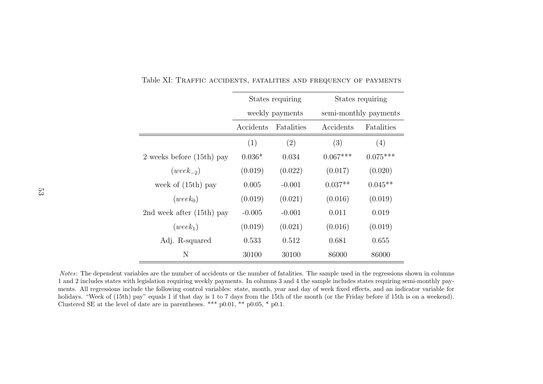|                               |           | States requiring |            | States requiring      |
|-------------------------------|-----------|------------------|------------|-----------------------|
|                               |           | weekly payments  |            | semi-monthly payments |
|                               | Accidents | Fatalities       | Accidents  | Fatalities            |
|                               | (1)       | (2)              | (3)        | (4)                   |
| $2$ weeks before $(15th)$ pay | $0.036*$  | 0.034            | $0.067***$ | $0.075***$            |
| $(week_{-2})$                 | (0.019)   | (0.022)          | (0.017)    | (0.020)               |
| week of $(15th)$ pay          | 0.005     | $-0.001$         | $0.037**$  | $0.045**$             |
| $(week_0)$                    | (0.019)   | (0.021)          | (0.016)    | (0.019)               |
| 2nd week after $(15th)$ pay   | $-0.005$  | $-0.001$         | 0.011      | 0.019                 |
| $(week_1)$                    | (0.019)   | (0.021)          | (0.016)    | (0.019)               |
| Adj. R-squared                | 0.533     | 0.512            | 0.681      | 0.655                 |
| N                             | 30100     | 30100            | 86000      | 86000                 |

Table XI: Traffic accidents, fatalities and frequency of payments

<span id="page-52-0"></span>Notes: The dependent variables are the number of accidents or the number of fatalities. The sample used in the regressions shown in columns 1 and 2 includes states with legislation requiring weekly payments. In columns 3 and 4 the sample includes states requiring semi-monthly payments. All regressions include the following control variables: state, month, year and day of week fixed effects, and an indicator variable forholidays. "Week of (15th) pay" equals 1 if that day is 1 to 7 days from the 15th of the month (or the Friday before if 15th is on a weekend). Clustered SE at the level of date are in parentheses. \*\*\*  $p0.01$ , \*\*  $p0.05$ , \*  $p0.1$ .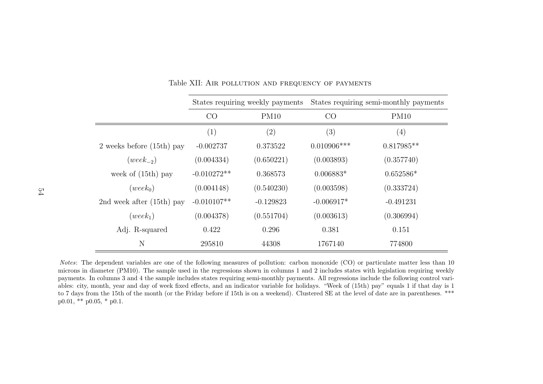|                               |               | States requiring weekly payments | States requiring semi-monthly payments |              |  |  |
|-------------------------------|---------------|----------------------------------|----------------------------------------|--------------|--|--|
|                               | CO<br>PM10    |                                  | CO                                     | PM10         |  |  |
|                               | (1)           | (2)                              | (3)                                    | (4)          |  |  |
| $2$ weeks before $(15th)$ pay | $-0.002737$   | 0.373522                         | $0.010906$ ***                         | $0.817985**$ |  |  |
| $(week_{-2})$                 | (0.004334)    | (0.650221)                       | (0.003893)                             | (0.357740)   |  |  |
| week of $(15th)$ pay          | $-0.010272**$ | 0.368573                         | $0.006883*$                            | $0.652586*$  |  |  |
| $(week_0)$                    | (0.004148)    | (0.540230)                       | (0.003598)                             | (0.333724)   |  |  |
| 2nd week after $(15th)$ pay   | $-0.010107**$ | $-0.129823$                      | $-0.006917*$                           | $-0.491231$  |  |  |
| $(week_1)$                    | (0.004378)    | (0.551704)                       | (0.003613)                             | (0.306994)   |  |  |
| Adj. R-squared                | 0.422         | 0.296                            | 0.381                                  | 0.151        |  |  |
| N                             | 295810        | 44308                            | 1767140                                | 774800       |  |  |

Table XII: Air pollution and frequency of payments

<span id="page-53-0"></span>Notes: The dependent variables are one of the following measures of pollution: carbon monoxide (CO) or particulate matter less than <sup>10</sup> microns in diameter (PM10). The sample used in the regressions shown in columns <sup>1</sup> and <sup>2</sup> includes states with legislation requiring weekly payments. In columns 3 and 4 the sample includes states requiring semi-monthly payments. All regressions include the following control variables: city, month, year and day of week fixed effects, and an indicator variable for holidays. "Week of (15th) pay" equals <sup>1</sup> if that day is <sup>1</sup> to <sup>7</sup> days from the 15th of the month (or the Friday before if 15th is on <sup>a</sup> weekend). Clustered SE at the level of date are in parentheses. \*\*\* $p0.01$ , \*\*  $p0.05$ , \*  $p0.1$ .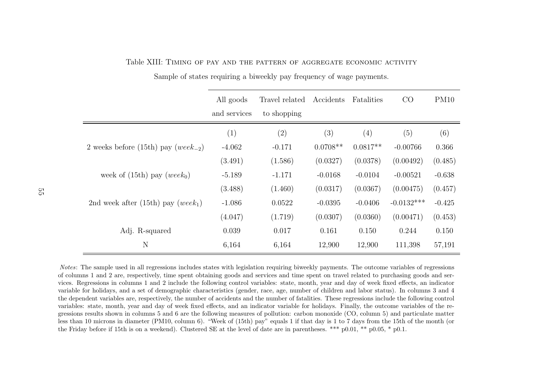|                                                | All goods    | Travel related | Accidents  | Fatalities | CO           | PM10     |
|------------------------------------------------|--------------|----------------|------------|------------|--------------|----------|
|                                                | and services | to shopping    |            |            |              |          |
|                                                | (1)          | (2)            | (3)        | (4)        | (5)          | (6)      |
| 2 weeks before (15th) pay ( $week_{-2}$ )      | $-4.062$     | $-0.171$       | $0.0708**$ | $0.0817**$ | $-0.00766$   | 0.366    |
|                                                | (3.491)      | (1.586)        | (0.0327)   | (0.0378)   | (0.00492)    | (0.485)  |
| week of $(15th)$ pay $(week0)$                 | $-5.189$     | $-1.171$       | $-0.0168$  | $-0.0104$  | $-0.00521$   | $-0.638$ |
|                                                | (3.488)      | (1.460)        | (0.0317)   | (0.0367)   | (0.00475)    | (0.457)  |
| 2nd week after (15th) pay (week <sub>1</sub> ) | $-1.086$     | 0.0522         | $-0.0395$  | $-0.0406$  | $-0.0132***$ | $-0.425$ |
|                                                | (4.047)      | (1.719)        | (0.0307)   | (0.0360)   | (0.00471)    | (0.453)  |
| Adj. R-squared                                 | 0.039        | 0.017          | 0.161      | 0.150      | 0.244        | 0.150    |
| N                                              | 6,164        | 6,164          | 12,900     | 12,900     | 111,398      | 57,191   |

Table XIII: Timing of pay and the pattern of aggregate economic activity

Sample of states requiring <sup>a</sup> biweekly pay frequency of wage payments.

<span id="page-54-0"></span>Notes: The sample used in all regressions includes states with legislation requiring biweekly payments. The outcome variables of regressions of columns 1 and 2 are, respectively, time spent obtaining goods and services and time spent on travel related to purchasing goods and services. Regressions in columns 1 and 2 include the following control variables: state, month, year and day of week fixed effects, an indicator variable for holidays, and <sup>a</sup> set of demographic characteristics (gender, race, age, number of children and labor status). In columns <sup>3</sup> and <sup>4</sup> the dependent variables are, respectively, the number of accidents and the number of fatalities. These regressions include the following controlvariables: state, month, year and day of week fixed effects, and an indicator variable for holidays. Finally, the outcome variables of the regressions results shown in columns <sup>5</sup> and <sup>6</sup> are the following measures of pollution: carbon monoxide (CO, column 5) and particulate matter less than <sup>10</sup> microns in diameter (PM10, column 6). "Week of (15th) pay" equals <sup>1</sup> if that day is <sup>1</sup> to <sup>7</sup> days from the 15th of the month (orthe Friday before if 15th is on <sup>a</sup> weekend). Clustered SE at the level of date are in parentheses. \*\*\* p0.01, \*\* p0.05, \* p0.1.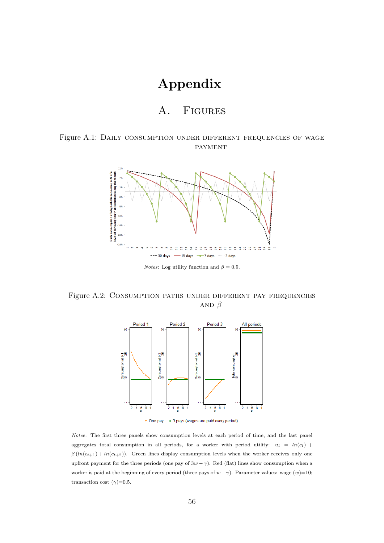# Appendix

## A. Figures

### <span id="page-55-0"></span>Figure A.1: DAILY CONSUMPTION UNDER DIFFERENT FREQUENCIES OF WAGE **PAYMENT**



*Notes*: Log utility function and  $\beta = 0.9$ .

<span id="page-55-1"></span>Figure A.2: Consumption paths under different pay frequencies AND  $\beta$ 





Notes: The first three panels show consumption levels at each period of time, and the last panel aggregates total consumption in all periods, for a worker with period utility:  $u_t = ln(c_t) +$  $\beta(ln(c_{t+1}) + ln(c_{t+2}))$ . Green lines display consumption levels when the worker receives only one upfront payment for the three periods (one pay of  $3w - \gamma$ ). Red (flat) lines show consumption when a worker is paid at the beginning of every period (three pays of  $w - \gamma$ ). Parameter values: wage  $(w)=10$ ; transaction cost  $(\gamma)$ =0.5.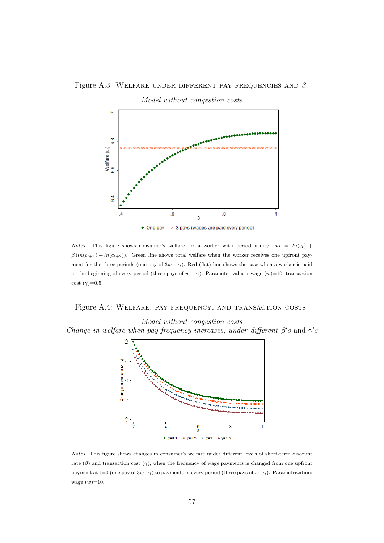#### <span id="page-56-0"></span>Figure A.3: WELFARE UNDER DIFFERENT PAY FREQUENCIES AND  $\beta$



*Notes*: This figure shows consumer's welfare for a worker with period utility:  $u_t = ln(c_t) +$  $\beta(ln(c_{t+1}) + ln(c_{t+2}))$ . Green line shows total welfare when the worker receives one upfront payment for the three periods (one pay of  $3w - \gamma$ ). Red (flat) line shows the case when a worker is paid at the beginning of every period (three pays of  $w - \gamma$ ). Parameter values: wage  $(w)=10$ ; transaction cost  $(\gamma)$ =0.5.

#### <span id="page-56-1"></span>Figure A.4: WELFARE, PAY FREQUENCY, AND TRANSACTION COSTS



Model without congestion costs

Notes: This figure shows changes in consumer's welfare under different levels of short-term discount rate ( $\beta$ ) and transaction cost ( $\gamma$ ), when the frequency of wage payments is changed from one upfront payment at t=0 (one pay of  $3w-\gamma$ ) to payments in every period (three pays of  $w-\gamma$ ). Parametrization: wage  $(w)=10$ .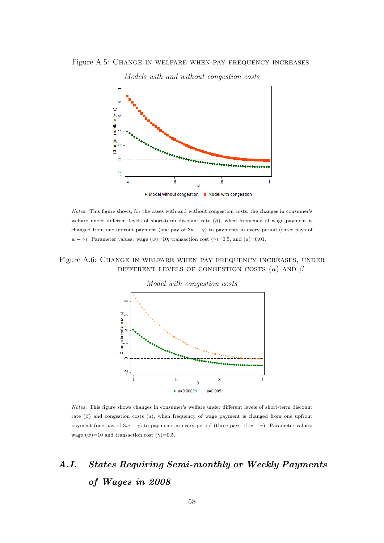## <span id="page-57-0"></span>Figure A.5: Change in welfare when pay frequency increases



#### Models with and without congestion costs

Notes: This figure shows, for the cases with and without congestion costs, the changes in consumer's welfare under different levels of short-term discount rate  $(\beta)$ , when frequency of wage payment is changed from one upfront payment (one pay of  $3w - \gamma$ ) to payments in every period (three pays of  $w - \gamma$ ). Parameter values: wage  $(w) = 10$ ; transaction cost  $(\gamma) = 0.5$ , and  $(a) = 0.01$ .

### <span id="page-57-1"></span>Figure A.6: Change in welfare when pay frequency increases, under DIFFERENT LEVELS OF CONGESTION COSTS  $(a)$  AND  $\beta$



Notes: This figure shows changes in consumer's welfare under different levels of short-term discount rate  $(\beta)$  and congestion costs  $(a)$ , when frequency of wage payment is changed from one upfront payment (one pay of  $3w - \gamma$ ) to payments in every period (three pays of  $w - \gamma$ ). Parameter values: wage  $(w)=10$  and transaction cost  $(\gamma)=0.5$ .

# A.I. States Requiring Semi-monthly or Weekly Payments of Wages in 2008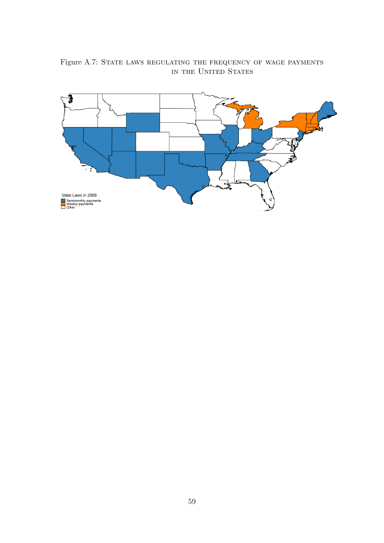

<span id="page-58-0"></span>Figure A.7: STATE LAWS REGULATING THE FREQUENCY OF WAGE PAYMENTS in the United States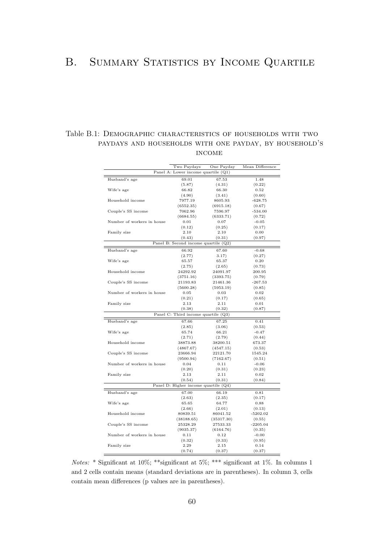## B. SUMMARY STATISTICS BY INCOME QUARTILE

## Table B.1: Demographic characteristics of households with two paydays and households with one payday, by household's income

|                            | Two Paydays                          | One Payday | Mean Difference |
|----------------------------|--------------------------------------|------------|-----------------|
|                            | Panel A: Lower income quartile (Q1)  |            |                 |
| Husband's age              | 69.01                                | 67.53      | 1.48            |
|                            | (5.87)                               | (4.31)     | (0.22)          |
| Wife's age                 | 66.82                                | 66.30      | 0.52            |
|                            | (4.90)                               | (3.41)     | (0.60)          |
| Household income           | 7977.19                              | 8605.93    | $-628.75$       |
|                            | (6552.35)                            | (6915.18)  | (0.67)          |
| Couple's SS income         | 7062.96                              | 7596.97    | $-534.00$       |
|                            | (6684.55)                            | (6333.71)  | (0.72)          |
| Number of workers in house | 0.01                                 | 0.07       | $-0.05$         |
|                            | (0.12)                               | (0.25)     | (0.17)          |
| Family size                | $2.10\,$                             | 2.10       | 0.00            |
|                            | (0.43)                               | (0.31)     | (0.97)          |
|                            | Panel B: Second income quartile (Q2) |            |                 |
| Husband's age              | 66.92                                | 67.60      | $-0.68$         |
|                            | (2.77)                               | 3.17)      | (0.27)          |
| Wife's age                 | 65.57                                | 65.37      | 0.20            |
|                            | (2.75)                               | (2.65)     | (0.73)          |
| Household income           | 24292.92                             | 24091.97   | 200.95          |
|                            | (3751.16)                            | (3393.75)  | (0.79)          |
| Couple's SS income         | 21193.83                             | 21461.36   | $-267.53$       |
|                            | (5600.28)                            | (5953.19)  | (0.85)          |
| Number of workers in house | 0.05                                 | 0.03       | 0.02            |
|                            | (0.21)                               | (0.17)     | (0.65)          |
| Family size                | 2.13                                 | 2.11       | 0.01            |
|                            | (0.38)                               | (0.32)     | (0.87)          |
|                            | Panel C: Third income quartile (Q3)  |            |                 |
| Husband's age              | 67.66                                | 67.25      | 0.41            |
|                            | (2.85)                               | (3.06)     | (0.53)          |
| Wife's age                 | 65.74                                | 66.21      | $-0.47$         |
|                            | (2.71)                               | (2.79)     | (0.44)          |
| Household income           | 38873.88                             | 38200.51   | 673.37          |
|                            | (4867.67)                            | (4547.15)  | (0.53)          |
| Couple's SS income         | 23666.94                             | 22121.70   | 1545.24         |
|                            | (9500.94)                            | (7162.67)  | (0.51)          |
| Number of workers in house | 0.04                                 | 0.11       | $-0.06$         |
|                            | (0.20)                               | (0.31)     | (0.23)          |
| Family size                | 2.13                                 | 2.11       | 0.02            |
|                            | (0.54)                               | (0.31)     | (0.84)          |
|                            | Panel D: Higher income quartile (Q4) |            |                 |
| Husband's age              | 67.00                                | 66.19      | 0.81            |
|                            | (2.63)                               | (2.35)     | (0.17)          |
| Wife's age                 | 65.65                                | 64.77      | 0.88            |
|                            | (2.66)                               | (2.01)     | (0.13)          |
| Household income           | 80839.51                             | 86041.52   | $-5202.02$      |
|                            | (38188.65)                           | (35317.30) | (0.55)          |
| Couple's SS income         | 25328.29                             | 27533.33   | $-2205.04$      |
|                            | (9035.37)                            | (6164.76)  | (0.35)          |
| Number of workers in house | 0.11                                 | 0.12       | $-0.00$         |
|                            | (0.32)                               | (0.33)     | (0.95)          |
| Family size                | 2.29                                 | 2.15       | 0.14            |
|                            | (0.74)                               | (0.37)     | (0.37)          |

Notes: \* Significant at 10%; \*\*significant at 5%; \*\*\* significant at 1%. In columns 1 and 2 cells contain means (standard deviations are in parentheses). In column 3, cells contain mean differences (p values are in parentheses).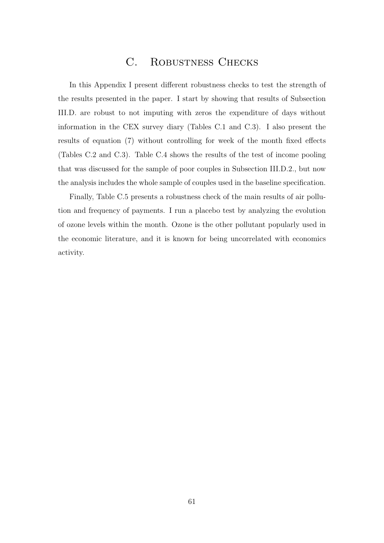## C. Robustness Checks

<span id="page-60-0"></span>In this Appendix I present different robustness checks to test the strength of the results presented in the paper. I start by showing that results of Subsection [III.D.](#page-20-0) are robust to not imputing with zeros the expenditure of days without information in the CEX survey diary (Tables [C.1](#page-61-0) and [C.3\)](#page-63-0). I also present the results of equation [\(7\)](#page-19-0) without controlling for week of the month fixed effects (Tables [C.2](#page-62-0) and [C.3\)](#page-63-0). Table [C.4](#page-64-0) shows the results of the test of income pooling that was discussed for the sample of poor couples in Subsection [III.D.2.,](#page-23-0) but now the analysis includes the whole sample of couples used in the baseline specification.

Finally, Table [C.5](#page-65-0) presents a robustness check of the main results of air pollution and frequency of payments. I run a placebo test by analyzing the evolution of ozone levels within the month. Ozone is the other pollutant popularly used in the economic literature, and it is known for being uncorrelated with economics activity.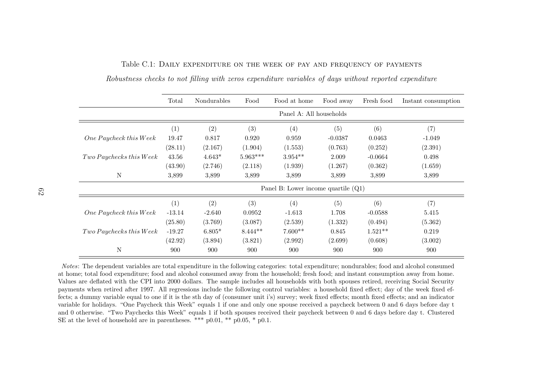|                           | Total    | Nondurables       | Food       | Food at home                          | Food away | Fresh food | Instant consumption |
|---------------------------|----------|-------------------|------------|---------------------------------------|-----------|------------|---------------------|
|                           |          |                   |            | Panel A: All households               |           |            |                     |
|                           | (1)      | $\left( 2\right)$ | (3)        | (4)                                   | (5)       | (6)        | (7)                 |
| One Paycheck this Week    | 19.47    | 0.817             | 0.920      | 0.959                                 | $-0.0387$ | 0.0463     | $-1.049$            |
|                           | (28.11)  | (2.167)           | (1.904)    | (1.553)                               | (0.763)   | (0.252)    | (2.391)             |
| $Two$ Paychecks this Week | 43.56    | $4.643*$          | $5.963***$ | $3.954**$                             | 2.009     | $-0.0664$  | 0.498               |
|                           | (43.90)  | (2.746)           | (2.118)    | (1.939)                               | (1.267)   | (0.362)    | (1.659)             |
| N                         | 3,899    | 3,899             | 3,899      | 3,899                                 | 3,899     | 3,899      | 3,899               |
|                           |          |                   |            | Panel B: Lower income quartile $(Q1)$ |           |            |                     |
|                           | (1)      | $\left( 2\right)$ | (3)        | (4)                                   | (5)       | (6)        | (7)                 |
| One Paycheck this Week    | $-13.14$ | $-2.640$          | 0.0952     | $-1.613$                              | 1.708     | $-0.0588$  | 5.415               |
|                           | (25.80)  | (3.769)           | (3.087)    | (2.539)                               | (1.332)   | (0.494)    | (5.362)             |
| Two Paychecks this Week   | $-19.27$ | $6.805*$          | $8.444**$  | $7.600**$                             | 0.845     | $1.521**$  | 0.219               |
|                           | (42.92)  | (3.894)           | (3.821)    | (2.992)                               | (2.699)   | (0.608)    | (3.002)             |
| N                         | 900      | 900               | 900        | 900                                   | 900       | 900        | 900                 |

Table C.1: Daily expenditure on the week of pay and frequency of paymentsRobustness checks to not filling with zeros expenditure variables of days without reported expenditure

<span id="page-61-0"></span>Notes: The dependent variables are total expenditure in the following categories: total expenditure; nondurables; food and alcohol consumed at home; total food expenditure; food and alcohol consumed away from the household; fresh food; and instant consumption away from home. Values are deflated with the CPI into 2000 dollars. The sample includes all households with both spouses retired, receiving Social Securitypayments when retired after 1997. All regressions include the following control variables: a household fixed effect; day of the week fixed effects; <sup>a</sup> dummy variable equa<sup>l</sup> to one if it is the sth day of (consumer unit i's) survey; week fixed effects; month fixed effects; and an indicator variable for holidays. "One Paycheck this Week" equals 1 if one and only one spouse received <sup>a</sup> paycheck between 0 and 6 days before day <sup>t</sup> and 0 otherwise. "Two Paychecks this Week" equals 1 if both spouses received their paycheck between 0 and 6 days before day t. ClusteredSE at the level of household are in parentheses. \*\*\*  $p0.01$ , \*\*  $p0.05$ , \*  $p0.1$ .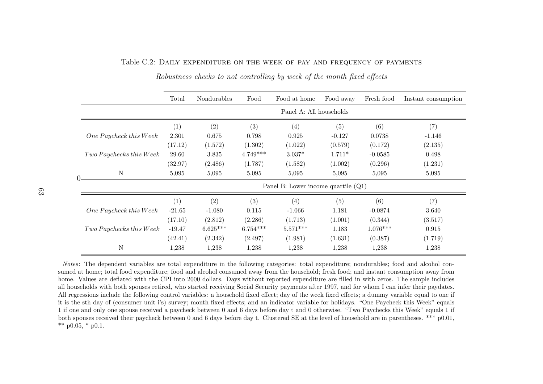<span id="page-62-0"></span>Table C.2: Daily expenditure on the week of pay and frequency of payments

|                         | Total    | Nondurables                           | Food       | Food at home            | Food away | Fresh food | Instant consumption |  |  |
|-------------------------|----------|---------------------------------------|------------|-------------------------|-----------|------------|---------------------|--|--|
|                         |          |                                       |            | Panel A: All households |           |            |                     |  |  |
|                         | (1)      | (2)                                   | (3)        | (4)                     | (5)       | (6)        | (7)                 |  |  |
| One Paycheck this Week  | 2.301    | 0.675                                 | 0.798      | 0.925                   | $-0.127$  | 0.0738     | $-1.146$            |  |  |
|                         | (17.12)  | (1.572)                               | (1.302)    | (1.022)                 | (0.579)   | (0.172)    | (2.135)             |  |  |
| Two Paychecks this Week | 29.60    | 3.835                                 | $4.749***$ | $3.037*$                | $1.711*$  | $-0.0585$  | 0.498               |  |  |
|                         | (32.97)  | (2.486)                               | (1.787)    | (1.582)                 | (1.002)   | (0.296)    | (1.231)             |  |  |
| $\mathbf N$             | 5,095    | 5,095                                 | 5,095      | 5,095                   | 5,095     | 5,095      | 5,095               |  |  |
|                         |          | Panel B: Lower income quartile $(Q1)$ |            |                         |           |            |                     |  |  |
|                         | (1)      | (2)                                   | (3)        | (4)                     | (5)       | (6)        | (7)                 |  |  |
| One Paycheck this Week  | $-21.65$ | $-1.080$                              | 0.115      | $-1.066$                | 1.181     | $-0.0874$  | 3.640               |  |  |
|                         | (17.10)  | (2.812)                               | (2.286)    | (1.713)                 | (1.001)   | (0.344)    | (3.517)             |  |  |
| Two Paychecks this Week | $-19.47$ | $6.625***$                            | $6.754***$ | $5.571***$              | 1.183     | $1.076***$ | 0.915               |  |  |
|                         | (42.41)  | (2.342)                               | (2.497)    | (1.981)                 | (1.631)   | (0.387)    | (1.719)             |  |  |
| N                       | 1,238    | 1,238                                 | 1,238      | 1,238                   | 1,238     | 1,238      | 1,238               |  |  |

Robustness checks to not controlling by week of the month fixed effects

Notes: The dependent variables are total expenditure in the following categories: total expenditure; nondurables; food and alcohol consumed at home; total food expenditure; food and alcohol consumed away from the household; fresh food; and instant consumption away from home. Values are deflated with the CPI into 2000 dollars. Days without reported expenditure are filled in with zeros. The sample includes all households with both spouses retired, who started receiving Social Security payments after 1997, and for whom I can infer their paydates. All regressions include the following control variables: <sup>a</sup> household fixed effect; day of the week fixed effects; <sup>a</sup> dummy variable equal to one if it is the sth day of (consumer unit i's) survey; month fixed effects; and an indicator variable for holidays. "One Paycheck this Week" equals 1 if one and only one spouse received <sup>a</sup> paycheck between 0 and 6 days before day <sup>t</sup> and 0 otherwise. "Two Paychecks this Week" equals 1 ifboth spouses received their paycheck between 0 and 6 days before day t. Clustered SE at the level of household are in parentheses. \*\*\* p0.01, \*\*  $p0.05$ , \*  $p0.1$ .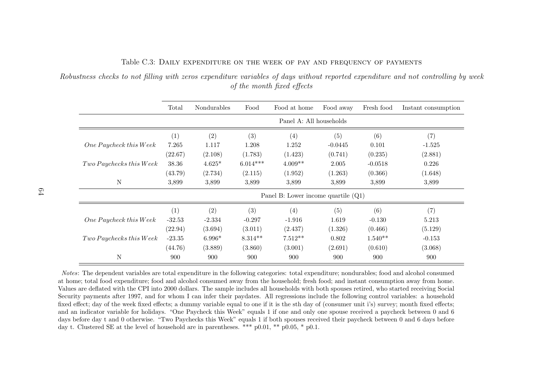|                         | Total    | Nondurables | Food       | Food at home                          | Food away | Fresh food | Instant consumption |
|-------------------------|----------|-------------|------------|---------------------------------------|-----------|------------|---------------------|
|                         |          |             |            | Panel A: All households               |           |            |                     |
|                         | (1)      | (2)         | (3)        | (4)                                   | (5)       | (6)        | (7)                 |
| One Paycheck this Week  | 7.265    | 1.117       | 1.208      | 1.252                                 | $-0.0445$ | 0.101      | $-1.525$            |
|                         | (22.67)  | (2.108)     | (1.783)    | (1.423)                               | (0.741)   | (0.235)    | (2.881)             |
| Two Paychecks this Week | 38.36    | $4.625*$    | $6.014***$ | $4.009**$                             | 2.005     | $-0.0518$  | 0.226               |
|                         | (43.79)  | (2.734)     | (2.115)    | (1.952)                               | (1.263)   | (0.366)    | (1.648)             |
| N                       | 3,899    | 3,899       | 3,899      | 3,899                                 | 3,899     | 3.899      | 3,899               |
|                         |          |             |            | Panel B: Lower income quartile $(Q1)$ |           |            |                     |
|                         | (1)      | (2)         | (3)        | (4)                                   | (5)       | (6)        | (7)                 |
| One Paycheck this Week  | $-32.53$ | $-2.334$    | $-0.297$   | $-1.916$                              | 1.619     | $-0.130$   | 5.213               |
|                         | (22.94)  | (3.694)     | (3.011)    | (2.437)                               | (1.326)   | (0.466)    | (5.129)             |
| Two Paychecks this Week | $-23.35$ | $6.996*$    | $8.314**$  | $7.512**$                             | 0.802     | $1.540**$  | $-0.153$            |
|                         | (44.76)  | (3.889)     | (3.860)    | (3.001)                               | (2.691)   | (0.610)    | (3.068)             |
| N                       | 900      | 900         | 900        | 900                                   | 900       | 900        | 900                 |

## Table C.3: Daily expenditure on the week of pay and frequency of paymentsRobustness checks to not filling with zeros expenditure variables of days without reported expenditure and not controlling by week

of the month fixed effects

<span id="page-63-0"></span>Notes: The dependent variables are total expenditure in the following categories: total expenditure; nondurables; food and alcohol consumed at home; total food expenditure; food and alcohol consumed away from the household; fresh food; and instant consumption away from home. Values are deflated with the CPI into 2000 dollars. The sample includes all households with both spouses retired, who started receiving Social Security payments after 1997, and for whom I can infer their paydates. All regressions include the following control variables: <sup>a</sup> household fixed effect; day of the week fixed effects; <sup>a</sup> dummy variable equa<sup>l</sup> to one if it is the sth day of (consumer unit i's) survey; month fixed effects; and an indicator variable for holidays. "One Paycheck this Week" equals 1 if one and only one spouse received <sup>a</sup> paycheck between 0 and 6 days before day <sup>t</sup> and 0 otherwise. "Two Paychecks this Week" equals 1 if both spouses received their paycheck between 0 and 6 days beforeday t. Clustered SE at the level of household are in parentheses. \*\*\* p0.01, \*\* p0.05, \* p0.1.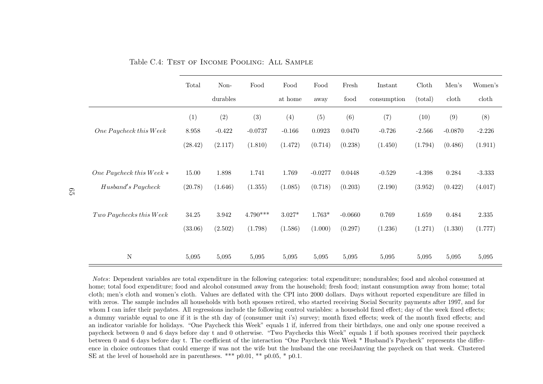|                                              | Total     | Non-      | Food       | Food     | Food      | Fresh     | Instant     | Cloth    | Men's     | Women's   |
|----------------------------------------------|-----------|-----------|------------|----------|-----------|-----------|-------------|----------|-----------|-----------|
|                                              |           | durables  |            | at home  | away      | food      | consumption | (total)  | doth      | doth      |
|                                              | (1)       | (2)       | (3)        | (4)      | (5)       | (6)       | (7)         | (10)     | (9)       | (8)       |
| $One \, Paycheck\, this \, Week$             | $8.958\,$ | $-0.422$  | $-0.0737$  | $-0.166$ | 0.0923    | 0.0470    | $-0.726$    | $-2.566$ | $-0.0870$ | $-2.226$  |
|                                              | (28.42)   | (2.117)   | (1.810)    | (1.472)  | (0.714)   | (0.238)   | (1.450)     | (1.794)  | (0.486)   | (1.911)   |
|                                              |           |           |            |          |           |           |             |          |           |           |
| One Paycheck this Week $*$                   | 15.00     | 1.898     | 1.741      | 1.769    | $-0.0277$ | 0.0448    | $-0.529$    | $-4.398$ | 0.284     | $-3.333$  |
| Husband's Paycheck                           | (20.78)   | (1.646)   | (1.355)    | (1.085)  | (0.718)   | (0.203)   | (2.190)     | (3.952)  | (0.422)   | (4.017)   |
|                                              |           |           |            |          |           |           |             |          |           |           |
| $\label{thm:two} Two\,Paychecks\,this\,Week$ | $34.25\,$ | $3.942\,$ | $4.790***$ | $3.027*$ | $1.763*$  | $-0.0660$ | 0.769       | 1.659    | 0.484     | $2.335\,$ |
|                                              | (33.06)   | (2.502)   | (1.798)    | (1.586)  | (1.000)   | (0.297)   | (1.236)     | (1.271)  | (1.330)   | (1.777)   |
|                                              |           |           |            |          |           |           |             |          |           |           |
| $\mathbf N$                                  | 5,095     | 5,095     | 5,095      | 5,095    | 5,095     | 5,095     | 5,095       | 5,095    | 5,095     | 5,095     |

Table C.4: Test of Income Pooling: All Sample

<span id="page-64-0"></span>Notes: Dependent variables are total expenditure in the following categories: total expenditure; nondurables; food and alcohol consumed at home; total food expenditure; food and alcohol consumed away from the household; fresh food; instant consumption away from home; totalcloth; men's cloth and women's cloth. Values are deflated with the CPI into 2000 dollars. Days without reported expenditure are filled in with zeros. The sample includes all households with both spouses retired, who started receiving Social Security payments after 1997, and forwhom I can infer their paydates. All regressions include the following control variables: a household fixed effect; day of the week fixed effects; <sup>a</sup> dummy variable equa<sup>l</sup> to one if it is the sth day of (consumer unit i's) survey; month fixed effects; week of the month fixed effects; and an indicator variable for holidays. "One Paycheck this Week" equals 1 if, inferred from their birthdays, one and only one spouse received <sup>a</sup> paycheck between 0 and 6 days before day <sup>t</sup> and 0 otherwise. "Two Paychecks this Week" equals 1 if both spouses received their paycheck between 0 and 6 days before day t. The coefficient of the interaction "One Paycheck this Week \* Husband's Paycheck" represents the difference in choice outcomes that could emerge if was not the wife but the husband the one receiJanving the paycheck on that week. ClusteredSE at the level of household are in parentheses. \*\*\* p0.01, \*\* p0.05, \* p0.1.

65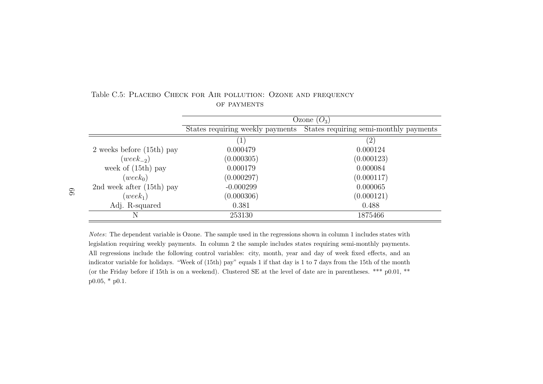|                               | Ozone $(O_3)$                    |                                        |  |  |  |  |
|-------------------------------|----------------------------------|----------------------------------------|--|--|--|--|
|                               | States requiring weekly payments | States requiring semi-monthly payments |  |  |  |  |
|                               | $\left( 1\right)$                | $\left( 2\right)$                      |  |  |  |  |
| $2$ weeks before $(15th)$ pay | 0.000479                         | 0.000124                               |  |  |  |  |
| $(week_{-2})$                 | (0.000305)                       | (0.000123)                             |  |  |  |  |
| week of $(15th)$ pay          | 0.000179                         | 0.000084                               |  |  |  |  |
| $(week_0)$                    | (0.000297)                       | (0.000117)                             |  |  |  |  |
| 2nd week after $(15th)$ pay   | $-0.000299$                      | 0.000065                               |  |  |  |  |
| $(week_1)$                    | (0.000306)                       | (0.000121)                             |  |  |  |  |
| Adj. R-squared                | 0.381                            | 0.488                                  |  |  |  |  |
| N                             | 253130                           | 1875466                                |  |  |  |  |

#### Table C.5: Placebo Check for Air pollution: Ozone and frequencyOF PAYMENTS

<span id="page-65-0"></span>Notes: The dependent variable is Ozone. The sample used in the regressions shown in column 1 includes states with legislation requiring weekly payments. In column 2 the sample includes states requiring semi-monthly payments.All regressions include the following control variables: city, month, year and day of week fixed effects, and an indicator variable for holidays. "Week of (15th) pay" equals <sup>1</sup> if that day is <sup>1</sup> to <sup>7</sup> days from the 15th of the month (or the Friday before if 15th is on <sup>a</sup> weekend). Clustered SE at the level of date are in parentheses. \*\*\* p0.01, \*\*p0.05, \* p0.1.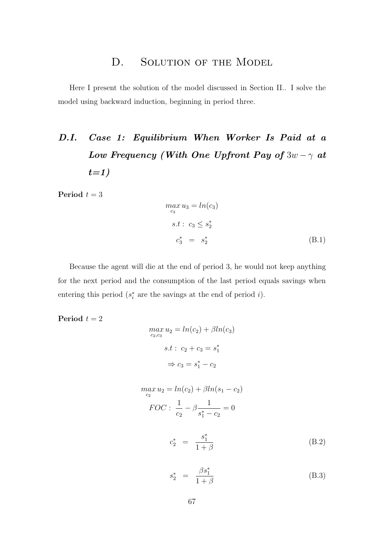## D. SOLUTION OF THE MODEL

<span id="page-66-0"></span>Here I present the solution of the model discussed in Section [II..](#page-7-0) I solve the model using backward induction, beginning in period three.

# D.I. Case 1: Equilibrium When Worker Is Paid at a Low Frequency (With One Upfront Pay of  $3w - \gamma$  at  $t=1)$

Period  $t = 3$ 

<span id="page-66-2"></span>
$$
\begin{aligned}\n\max_{c_3} u_3 &= \ln(c_3) \\
s.t: \quad c_3 \le s_2^* \\
c_3^* &= s_2^* \tag{B.1}\n\end{aligned}
$$

Because the agent will die at the end of period 3, he would not keep anything for the next period and the consumption of the last period equals savings when entering this period  $(s_i^*$  are the savings at the end of period *i*).

Period  $t = 2$ 

$$
\max_{c_2, c_3} u_2 = \ln(c_2) + \beta \ln(c_3)
$$

$$
s.t: c_2 + c_3 = s_1^*
$$

$$
\Rightarrow c_3 = s_1^* - c_2
$$

$$
\max_{c_2} u_2 = \ln(c_2) + \beta \ln(s_1 - c_2)
$$
  
\n
$$
FOC: \frac{1}{c_2} - \beta \frac{1}{s_1^* - c_2} = 0
$$
  
\n
$$
c_2^* = \frac{s_1^*}{1 + \beta}
$$
 (B.2)

<span id="page-66-3"></span><span id="page-66-1"></span>
$$
s_2^* = \frac{\beta s_1^*}{1 + \beta} \tag{B.3}
$$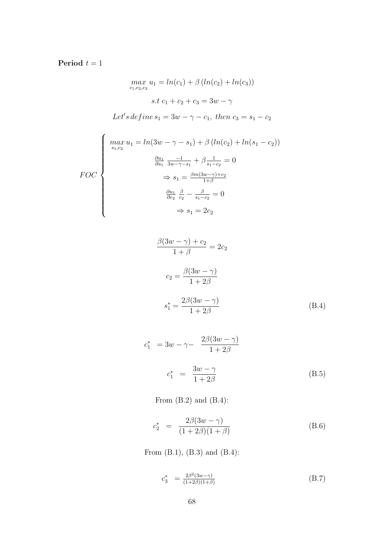## Period  $t = 1$

$$
\max_{c_1, c_2, c_3} u_1 = \ln(c_1) + \beta (\ln(c_2) + \ln(c_3))
$$
  
s.t  $c_1 + c_2 + c_3 = 3w - \gamma$ 

Let's define  $s_1 = 3w - \gamma - c_1$ , then  $c_3 = s_1 - c_2$ 

$$
FOC
$$
\n
$$
\begin{cases}\n\max_{s_1, c_2} u_1 = \ln(3w - \gamma - s_1) + \beta (\ln(c_2) + \ln(s_1 - c_2)) \\
\frac{\partial u_1}{\partial s_1} \frac{-1}{3w - \gamma - s_1} + \beta \frac{1}{s_1 - c_2} = 0 \\
\Rightarrow s_1 = \frac{\beta m (3w - \gamma) + c_2}{1 + \beta} \\
\frac{\partial u_1}{\partial c_2} \frac{\beta}{c_2} - \frac{\beta}{s_1 - c_2} = 0 \\
\Rightarrow s_1 = 2c_2\n\end{cases}
$$

$$
\frac{\beta(3w-\gamma)+c_2}{1+\beta} = 2c_2
$$
  

$$
c_2 = \frac{\beta(3w-\gamma)}{1+2\beta}
$$
  

$$
s_1^* = \frac{2\beta(3w-\gamma)}{1+2\beta}
$$
 (B.4)

<span id="page-67-0"></span>
$$
c_1^* = 3w - \gamma - \frac{2\beta(3w - \gamma)}{1 + 2\beta}
$$
  

$$
c_1^* = \frac{3w - \gamma}{1 + 2\beta}
$$
 (B.5)

From  $(B.2)$  and  $(B.4)$ :

$$
c_2^* = \frac{2\beta(3w - \gamma)}{(1 + 2\beta)(1 + \beta)}
$$
(B.6)

From [\(B.1\),](#page-66-2) [\(B.3\)](#page-66-3) and [\(B.4\):](#page-67-0)

$$
c_3^* = \frac{2\beta^2 (3w - \gamma)}{(1 + 2\beta)(1 + \beta)}
$$
(B.7)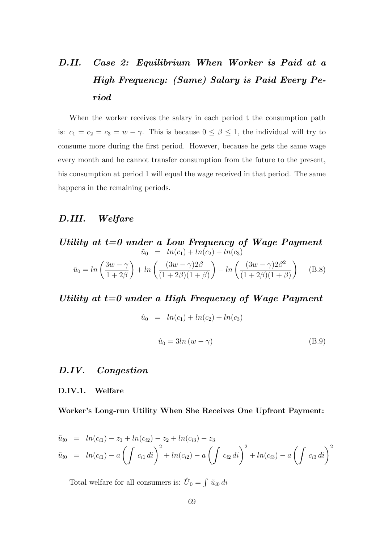# D.II. Case 2: Equilibrium When Worker is Paid at a High Frequency: (Same) Salary is Paid Every Period

When the worker receives the salary in each period t the consumption path is:  $c_1 = c_2 = c_3 = w - \gamma$ . This is because  $0 \le \beta \le 1$ , the individual will try to consume more during the first period. However, because he gets the same wage every month and he cannot transfer consumption from the future to the present, his consumption at period 1 will equal the wage received in that period. The same happens in the remaining periods.

## D.III. Welfare

*Utility at t=0 under a Low Frequency of wage Payment*  
\n
$$
\tilde{u}_0 = ln(c_1) + ln(c_2) + ln(c_3)
$$
\n
$$
\tilde{u}_0 = ln\left(\frac{3w - \gamma}{1 + 2\beta}\right) + ln\left(\frac{(3w - \gamma)2\beta}{(1 + 2\beta)(1 + \beta)}\right) + ln\left(\frac{(3w - \gamma)2\beta^2}{(1 + 2\beta)(1 + \beta)}\right)
$$
\n(B.8)

Utility at  $t=0$  under a High Frequency of Wage Payment

$$
\hat{u}_0 = ln(c_1) + ln(c_2) + ln(c_3)
$$
\n
$$
\hat{u}_0 = 3ln(w - \gamma)
$$
\n(B.9)

## D.IV. Congestion

#### D.IV.1. Welfare

Worker's Long-run Utility When She Receives One Upfront Payment:

$$
\tilde{u}_{i0} = ln(c_{i1}) - z_1 + ln(c_{i2}) - z_2 + ln(c_{i3}) - z_3
$$
\n
$$
\tilde{u}_{i0} = ln(c_{i1}) - a \left( \int c_{i1} di \right)^2 + ln(c_{i2}) - a \left( \int c_{i2} di \right)^2 + ln(c_{i3}) - a \left( \int c_{i3} di \right)^2
$$

Total welfare for all consumers is:  $\hat{U}_0 = \int \tilde{u}_{i0} di$